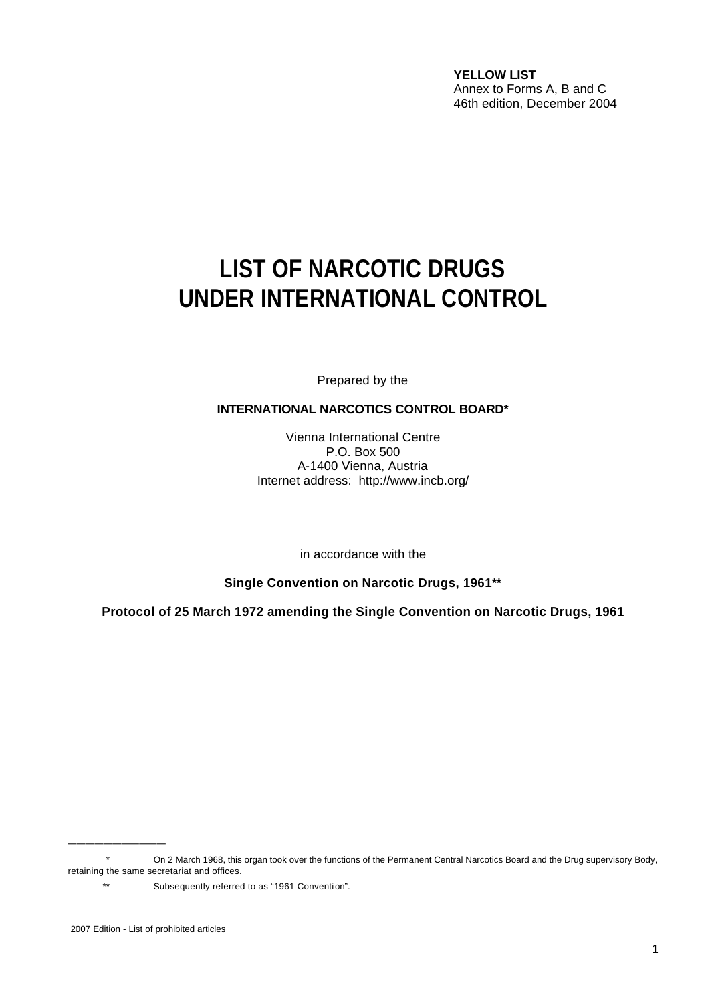**YELLOW LIST** Annex to Forms A, B and C 46th edition, December 2004

# **LIST OF NARCOTIC DRUGS UNDER INTERNATIONAL CONTROL**

Prepared by the

#### **INTERNATIONAL NARCOTICS CONTROL BOARD\***

Vienna International Centre P.O. Box 500 A-1400 Vienna, Austria Internet address: http://www.incb.org/

in accordance with the

**Single Convention on Narcotic Drugs, 1961\*\***

**Protocol of 25 March 1972 amending the Single Convention on Narcotic Drugs, 1961**

\_\_\_\_\_\_\_\_\_\_\_

<sup>\*</sup> On 2 March 1968, this organ took over the functions of the Permanent Central Narcotics Board and the Drug supervisory Body, retaining the same secretariat and offices.

<sup>\*\*</sup> Subsequently referred to as "1961 Convention".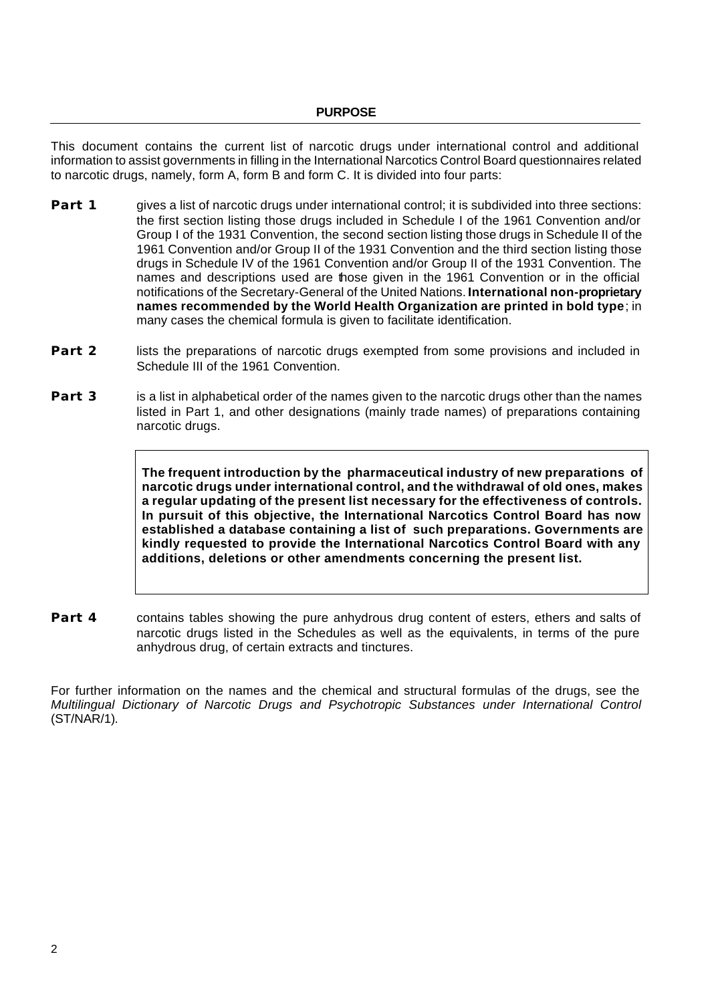This document contains the current list of narcotic drugs under international control and additional information to assist governments in filling in the International Narcotics Control Board questionnaires related to narcotic drugs, namely, form A, form B and form C. It is divided into four parts:

- **Part 1** gives a list of narcotic drugs under international control; it is subdivided into three sections: the first section listing those drugs included in Schedule I of the 1961 Convention and/or Group I of the 1931 Convention, the second section listing those drugs in Schedule II of the 1961 Convention and/or Group II of the 1931 Convention and the third section listing those drugs in Schedule IV of the 1961 Convention and/or Group II of the 1931 Convention. The names and descriptions used are those given in the 1961 Convention or in the official notifications of the Secretary-General of the United Nations. **International non-proprietary names recommended by the World Health Organization are printed in bold type**; in many cases the chemical formula is given to facilitate identification.
- **Part 2** lists the preparations of narcotic drugs exempted from some provisions and included in Schedule III of the 1961 Convention.
- **Part 3** is a list in alphabetical order of the names given to the narcotic drugs other than the names listed in Part 1, and other designations (mainly trade names) of preparations containing narcotic drugs.

**The frequent introduction by the pharmaceutical industry of new preparations of narcotic drugs under international control, and the withdrawal of old ones, makes a regular updating of the present list necessary for the effectiveness of controls. In pursuit of this objective, the International Narcotics Control Board has now established a database containing a list of such preparations. Governments are kindly requested to provide the International Narcotics Control Board with any additions, deletions or other amendments concerning the present list.**

**Part 4** contains tables showing the pure anhydrous drug content of esters, ethers and salts of narcotic drugs listed in the Schedules as well as the equivalents, in terms of the pure anhydrous drug, of certain extracts and tinctures.

For further information on the names and the chemical and structural formulas of the drugs, see the *Multilingual Dictionary of Narcotic Drugs and Psychotropic Substances under International Control* (ST/NAR/1)*.*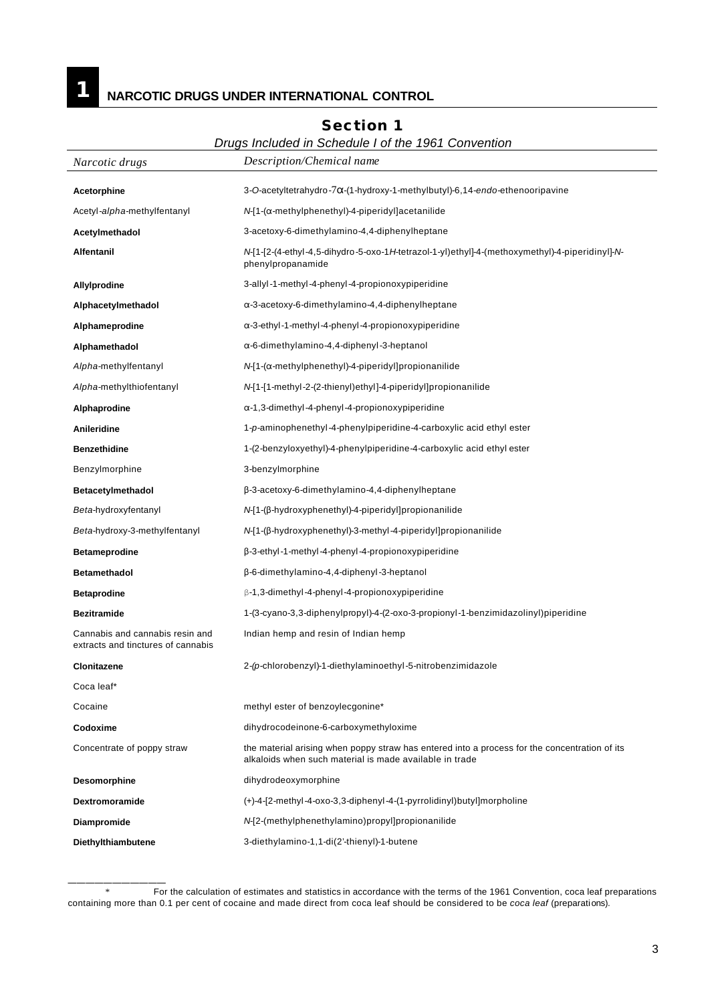#### **1 NARCOTIC DRUGS UNDER INTERNATIONAL CONTROL**

## *Narcotic drugs Description/Chemical name* Acetorphine 3-O-acetyltetrahydro-7α-(1-hydroxy-1-methylbutyl)-6,14-*endo-*ethenooripavine Acetyl-*alpha*-methylfentanyl *N***-[1-(α-methylphenethyl)-4-piperidyl**]acetanilide **Acetylmethadol** 3-acetoxy-6-dimethylamino-4,4-diphenylheptane **Alfentanil** *N*-[1-[2-(4-ethyl-4,5-dihydro-5-oxo-1*H*-tetrazol-1-yl)ethyl]-4-(methoxymethyl)-4-piperidinyl]-*N*phenylpropanamide **Allylprodine** 3-allyl-1-methyl-4-phenyl-4-propionoxypiperidine Alphacetylmethadol **Alphacetylmethadol**  $\alpha$ -3-acetoxy-6-dimethylamino-4,4-diphenylheptane Alphameprodine match of the state of the state of the state of the state of the state of the state of the state o **Alphamethadol** "-6-dimethylamino-4,4-diphenyl-3-heptanol *Alpha*-methylfentanyl *N*-[1-(α-methylphenethyl)-4-piperidyl]propionanilide *Alpha*-methylthiofentanyl *N*-[1-[1-methyl-2-(2-thienyl)ethyl]-4-piperidyl]propionanilide Alphaprodine **Matchler 1,3-dimethyl-4-phenyl-4-propionoxypiperidine Anileridine** 1-*p*-aminophenethyl-4-phenylpiperidine-4-carboxylic acid ethyl ester **Benzethidine** 1-(2-benzyloxyethyl)-4-phenylpiperidine-4-carboxylic acid ethyl ester Benzylmorphine 3-benzylmorphine **Betacetylmethadol** \$-3-acetoxy-6-dimethylamino-4,4-diphenylheptane *Beta*-hydroxyfentanyl *N*-[1-(\$-hydroxyphenethyl)-4-piperidyl]propionanilide *Beta*-hydroxy-3-methylfentanyl *N*-[1-(\$-hydroxyphenethyl)-3-methyl-4-piperidyl]propionanilide **Betameprodine** \$-3-ethyl-1-methyl-4-phenyl-4-propionoxypiperidine **Betamethadol**  $\beta$ -6-dimethylamino-4,4-diphenyl-3-heptanol **Betaprodine betaprodine** *B***-1,3-dimethyl-4-phenyl-4-propionoxypiperidine Bezitramide** 1-(3-cyano-3,3-diphenylpropyl)-4-(2-oxo-3-propionyl-1-benzimidazolinyl)piperidine Cannabis and cannabis resin and extracts and tinctures of cannabis Indian hemp and resin of Indian hemp **Clonitazene** 2*-(p*-chlorobenzyl)-1-diethylaminoethyl-5-nitrobenzimidazole Coca leaf\* Cocaine **Cocaine Cocaine methyl** ester of benzoylecgonine\* **Codoxime** dihydrocodeinone-6-carboxymethyloxime Concentrate of poppy straw the material arising when poppy straw has entered into a process for the concentration of its alkaloids when such material is made available in trade **Desomorphine** dihydrodeoxymorphine **Dextromoramide** (+)-4-[2-methyl-4-oxo-3,3-diphenyl-4-(1-pyrrolidinyl)butyl]morpholine **Diampromide** *N*-[2-(methylphenethylamino)propyl]propionanilide **Diethylthiambutene** 3-diethylamino-1,1-di(2'-thienyl)-1-butene

#### **Section 1**

#### *Drugs Included in Schedule I of the 1961 Convention*

\_\_\_\_\_\_\_\_\_\_\_

<sup>\*</sup> For the calculation of estimates and statistics in accordance with the terms of the 1961 Convention, coca leaf preparations containing more than 0.1 per cent of cocaine and made direct from coca leaf should be considered to be *coca leaf* (preparations).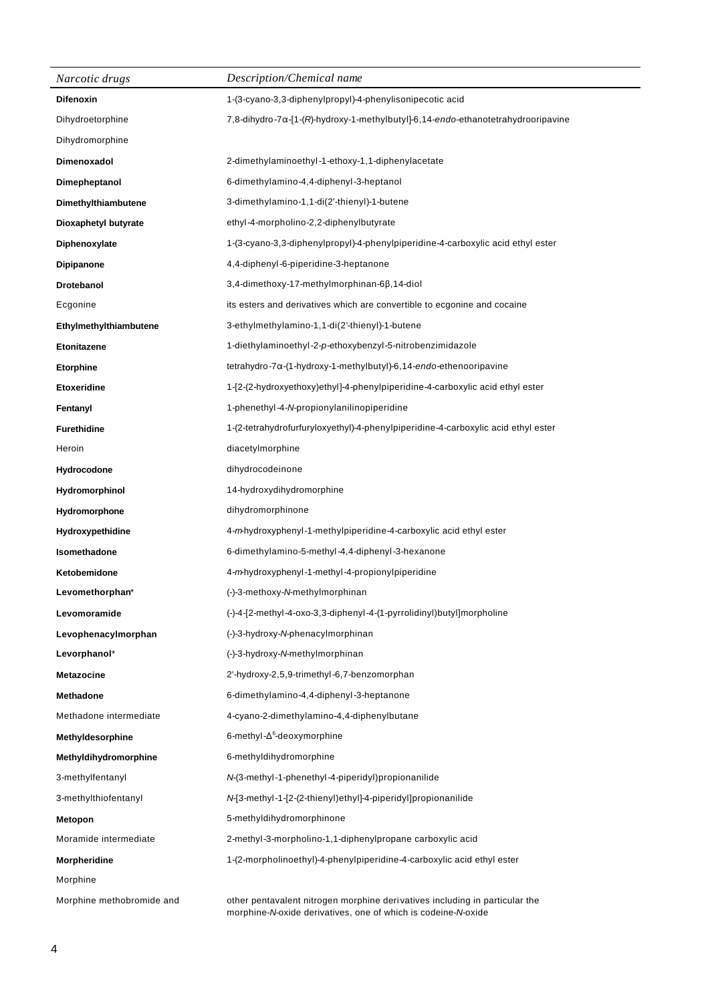| Narcotic drugs            | Description/Chemical name                                                                                                                    |
|---------------------------|----------------------------------------------------------------------------------------------------------------------------------------------|
| <b>Difenoxin</b>          | 1-(3-cyano-3,3-diphenylpropyl)-4-phenylisonipecotic acid                                                                                     |
| Dihydroetorphine          | 7,8-dihydro-7a-[1-(R)-hydroxy-1-methylbutyl]-6,14-endo-ethanotetrahydrooripavine                                                             |
| Dihydromorphine           |                                                                                                                                              |
| Dimenoxadol               | 2-dimethylaminoethyl-1-ethoxy-1,1-diphenylacetate                                                                                            |
| Dimepheptanol             | 6-dimethylamino-4,4-diphenyl-3-heptanol                                                                                                      |
| Dimethylthiambutene       | 3-dimethylamino-1,1-di(2'-thienyl)-1-butene                                                                                                  |
| Dioxaphetyl butyrate      | ethyl-4-morpholino-2,2-diphenylbutyrate                                                                                                      |
| Diphenoxylate             | 1-(3-cyano-3,3-diphenylpropyl)-4-phenylpiperidine-4-carboxylic acid ethyl ester                                                              |
| <b>Dipipanone</b>         | 4,4-diphenyl-6-piperidine-3-heptanone                                                                                                        |
| Drotebanol                | $3,4$ -dimethoxy-17-methylmorphinan-6 $\beta$ ,14-diol                                                                                       |
| Ecgonine                  | its esters and derivatives which are convertible to ecgonine and cocaine                                                                     |
| Ethylmethylthiambutene    | 3-ethylmethylamino-1,1-di(2'-thienyl)-1-butene                                                                                               |
| <b>Etonitazene</b>        | 1-diethylaminoethyl-2-p-ethoxybenzyl-5-nitrobenzimidazole                                                                                    |
| <b>Etorphine</b>          | $tetrahydro-7\alpha-(1-hydroxy-1-methylbutyl)-6,14-endo-etheno oripavine$                                                                    |
| Etoxeridine               | 1-[2-(2-hydroxyethoxy)ethyl]-4-phenylpiperidine-4-carboxylic acid ethyl ester                                                                |
| Fentanyl                  | 1-phenethyl-4-N-propionylanilinopiperidine                                                                                                   |
| <b>Furethidine</b>        | 1-(2-tetrahydrofurfuryloxyethyl)-4-phenylpiperidine-4-carboxylic acid ethyl ester                                                            |
| Heroin                    | diacetylmorphine                                                                                                                             |
| Hydrocodone               | dihydrocodeinone                                                                                                                             |
| <b>Hydromorphinol</b>     | 14-hydroxydihydromorphine                                                                                                                    |
| Hydromorphone             | dihydromorphinone                                                                                                                            |
| <b>Hydroxypethidine</b>   | 4-mhydroxyphenyl-1-methylpiperidine-4-carboxylic acid ethyl ester                                                                            |
| Isomethadone              | 6-dimethylamino-5-methyl-4,4-diphenyl-3-hexanone                                                                                             |
| Ketobemidone              | 4-mhydroxyphenyl-1-methyl-4-propionylpiperidine                                                                                              |
| Levomethorphan*           | (-)-3-methoxy-N-methylmorphinan                                                                                                              |
| Levomoramide              | (-)-4-[2-methyl-4-oxo-3,3-diphenyl-4-(1-pyrrolidinyl)butyl]morpholine                                                                        |
| Levophenacylmorphan       | (-)-3-hydroxy-N-phenacylmorphinan                                                                                                            |
| Levorphanol*              | (-)-3-hydroxy-N-methylmorphinan                                                                                                              |
| <b>Metazocine</b>         | 2'-hydroxy-2,5,9-trimethyl-6,7-benzomorphan                                                                                                  |
| <b>Methadone</b>          | 6-dimethylamino-4,4-diphenyl-3-heptanone                                                                                                     |
| Methadone intermediate    | 4-cyano-2-dimethylamino-4,4-diphenylbutane                                                                                                   |
| Methyldesorphine          | 6-methyl- $\Delta^6$ -deoxymorphine                                                                                                          |
| Methyldihydromorphine     | 6-methyldihydromorphine                                                                                                                      |
| 3-methylfentanyl          | N-(3-methyl-1-phenethyl-4-piperidyl)propionanilide                                                                                           |
| 3-methylthiofentanyl      | N-[3-methyl-1-[2-(2-thienyl)ethyl]-4-piperidyl]propionanilide                                                                                |
| Metopon                   | 5-methyldihydromorphinone                                                                                                                    |
| Moramide intermediate     | 2-methyl-3-morpholino-1,1-diphenylpropane carboxylic acid                                                                                    |
| Morpheridine              | 1-(2-morpholinoethyl)-4-phenylpiperidine-4-carboxylic acid ethyl ester                                                                       |
| Morphine                  |                                                                                                                                              |
| Morphine methobromide and | other pentavalent nitrogen morphine derivatives including in particular the<br>morphine-N-oxide derivatives, one of which is codeine-N-oxide |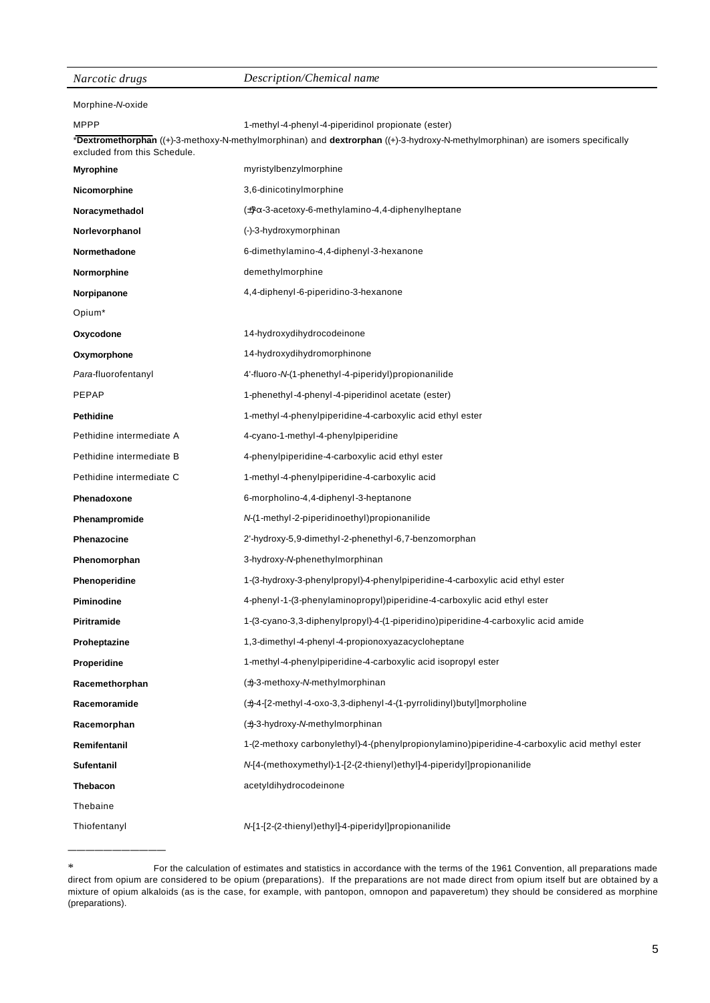| Narcotic drugs               | Description/Chemical name                                                                                                      |
|------------------------------|--------------------------------------------------------------------------------------------------------------------------------|
| Morphine-N-oxide             |                                                                                                                                |
| <b>MPPP</b>                  | 1-methyl-4-phenyl-4-piperidinol propionate (ester)                                                                             |
| excluded from this Schedule. | *Dextromethorphan ((+)-3-methoxy-N-methylmorphinan) and dextrorphan ((+)-3-hydroxy-N-methylmorphinan) are isomers specifically |
| <b>Myrophine</b>             | myristylbenzylmorphine                                                                                                         |
| Nicomorphine                 | 3,6-dinicotinylmorphine                                                                                                        |
| Noracymethadol               | $\pm$ $\alpha$ -3-acetoxy-6-methylamino-4,4-diphenylheptane                                                                    |
| Norlevorphanol               | (-)-3-hydroxymorphinan                                                                                                         |
| Normethadone                 | 6-dimethylamino-4,4-diphenyl-3-hexanone                                                                                        |
| Normorphine                  | demethylmorphine                                                                                                               |
| Norpipanone                  | 4,4-diphenyl-6-piperidino-3-hexanone                                                                                           |
| Opium <sup>*</sup>           |                                                                                                                                |
| Oxycodone                    | 14-hydroxydihydrocodeinone                                                                                                     |
| Oxymorphone                  | 14-hydroxydihydromorphinone                                                                                                    |
| Para-fluorofentanyl          | 4'-fluoro-N-(1-phenethyl-4-piperidyl) propionanilide                                                                           |
| PEPAP                        | 1-phenethyl-4-phenyl-4-piperidinol acetate (ester)                                                                             |
| <b>Pethidine</b>             | 1-methyl-4-phenylpiperidine-4-carboxylic acid ethyl ester                                                                      |
| Pethidine intermediate A     | 4-cyano-1-methyl-4-phenylpiperidine                                                                                            |
| Pethidine intermediate B     | 4-phenylpiperidine-4-carboxylic acid ethyl ester                                                                               |
| Pethidine intermediate C     | 1-methyl-4-phenylpiperidine-4-carboxylic acid                                                                                  |
| Phenadoxone                  | 6-morpholino-4,4-diphenyl-3-heptanone                                                                                          |
| Phenampromide                | N-(1-methyl-2-piperidinoethyl)propionanilide                                                                                   |
| Phenazocine                  | 2'-hydroxy-5,9-dimethyl-2-phenethyl-6,7-benzomorphan                                                                           |
| Phenomorphan                 | 3-hydroxy-N-phenethylmorphinan                                                                                                 |
| Phenoperidine                | 1-(3-hydroxy-3-phenylpropyl)-4-phenylpiperidine-4-carboxylic acid ethyl ester                                                  |
| Piminodine                   | 4-phenyl-1-(3-phenylaminopropyl)piperidine-4-carboxylic acid ethyl ester                                                       |
| Piritramide                  | 1-(3-cyano-3,3-diphenylpropyl)-4-(1-piperidino)piperidine-4-carboxylic acid amide                                              |
| Proheptazine                 | 1,3-dimethyl-4-phenyl-4-propionoxyazacycloheptane                                                                              |
| Properidine                  | 1-methyl-4-phenylpiperidine-4-carboxylic acid isopropyl ester                                                                  |
| Racemethorphan               | (±)-3-methoxy-N-methylmorphinan                                                                                                |
| Racemoramide                 | $(\pm)$ -4-[2-methyl-4-oxo-3,3-diphenyl-4-(1-pyrrolidinyl)butyl]morpholine                                                     |
| Racemorphan                  | (±)-3-hydroxy-N-methylmorphinan                                                                                                |
| Remifentanil                 | 1-(2-methoxy carbonylethyl)-4-(phenylpropionylamino)piperidine-4-carboxylic acid methyl ester                                  |
| Sufentanil                   | N-[4-(methoxymethyl)-1-[2-(2-thienyl)ethyl]-4-piperidyl]propionanilide                                                         |
| Thebacon                     | acetyldihydrocodeinone                                                                                                         |
| Thebaine                     |                                                                                                                                |
| Thiofentanyl                 | N-[1-[2-(2-thienyl)ethyl]-4-piperidyl]propionanilide                                                                           |
|                              |                                                                                                                                |

<sup>\*</sup> For the calculation of estimates and statistics in accordance with the terms of the 1961 Convention, all preparations made direct from opium are considered to be opium (preparations). If the preparations are not made direct from opium itself but are obtained by a mixture of opium alkaloids (as is the case, for example, with pantopon, omnopon and papaveretum) they should be considered as morphine (preparations).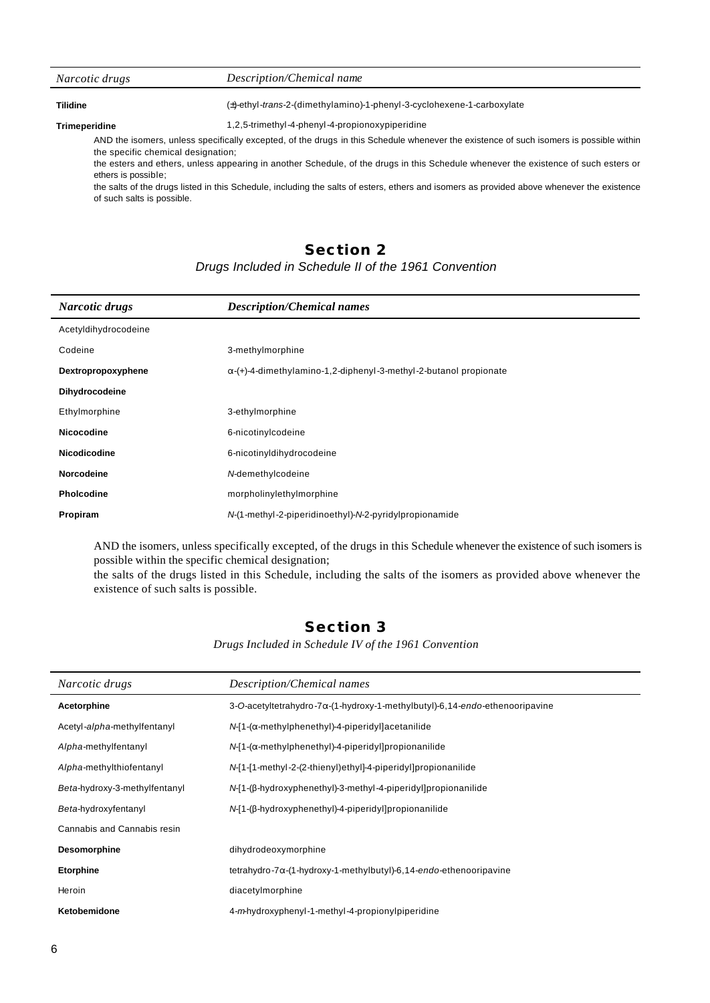| Narcotic drugs       | Description/Chemical name                                                                                                              |
|----------------------|----------------------------------------------------------------------------------------------------------------------------------------|
| <b>Tilidine</b>      | (±)-ethyl-trans-2-(dimethylamino)-1-phenyl-3-cyclohexene-1-carboxylate                                                                 |
| <b>Trimeperidine</b> | 1,2,5-trimethyl-4-phenyl-4-propionoxypiperidine                                                                                        |
|                      | AND the isomers, unless specifically excepted, of the drugs in this Schedule whenever the existence of such isomers is possible within |

the specific chemical designation; the esters and ethers, unless appearing in another Schedule, of the drugs in this Schedule whenever the existence of such esters or ethers is possible;

the salts of the drugs listed in this Schedule, including the salts of esters, ethers and isomers as provided above whenever the existence of such salts is possible.

#### **Section 2**

#### *Drugs Included in Schedule II of the 1961 Convention*

| <b>Description/Chemical names</b>                                        |
|--------------------------------------------------------------------------|
|                                                                          |
| 3-methylmorphine                                                         |
| $\alpha$ -(+)-4-dimethylamino-1,2-diphenyl-3-methyl-2-butanol propionate |
|                                                                          |
| 3-ethylmorphine                                                          |
| 6-nicotinylcodeine                                                       |
| 6-nicotinyldihydrocodeine                                                |
| M-demethylcodeine                                                        |
| morpholinylethylmorphine                                                 |
| N-(1-methyl-2-piperidinoethyl)-N-2-pyridylpropionamide                   |
|                                                                          |

AND the isomers, unless specifically excepted, of the drugs in this Schedule whenever the existence of such isomers is possible within the specific chemical designation;

the salts of the drugs listed in this Schedule, including the salts of the isomers as provided above whenever the existence of such salts is possible.

#### **Section 3**

*Drugs Included in Schedule IV of the 1961 Convention*

| Narcotic drugs                | Description/Chemical names                                                              |  |
|-------------------------------|-----------------------------------------------------------------------------------------|--|
| Acetorphine                   | $3$ -O-acetyltetrahydro- $7\alpha$ -(1-hydroxy-1-methylbutyl)-6,14-endo-ethenooripavine |  |
| Acetyl-alpha-methylfentanyl   | $N[1-(\alpha-methylphenethyl)-4-piperidy]]$ acetanilide                                 |  |
| Alpha-methylfentanyl          | $N[1-(\alpha-methylphenethyl)-4-piperidy]$ propionanilide                               |  |
| Alpha-methylthiofentanyl      | N-[1-[1-methyl-2-(2-thienyl)ethyl]-4-piperidyl]propionanilide                           |  |
| Beta-hydroxy-3-methylfentanyl | $N$ -[1-( $\beta$ -hydroxyphenethyl)-3-methyl-4-piperidyl]propionanilide                |  |
| Beta-hydroxyfentanyl          | $N[1-(\beta-hydroxyphenethyl)-4-piperidy]$ propionanilide                               |  |
| Cannabis and Cannabis resin   |                                                                                         |  |
| <b>Desomorphine</b>           | dihydrodeoxymorphine                                                                    |  |
| <b>Etorphine</b>              | tetrahydro-7 $\alpha$ -(1-hydroxy-1-methylbutyl)-6,14-endo-ethenooripavine              |  |
| Heroin                        | diacetylmorphine                                                                        |  |
| Ketobemidone                  | 4-mhydroxyphenyl-1-methyl-4-propionylpiperidine                                         |  |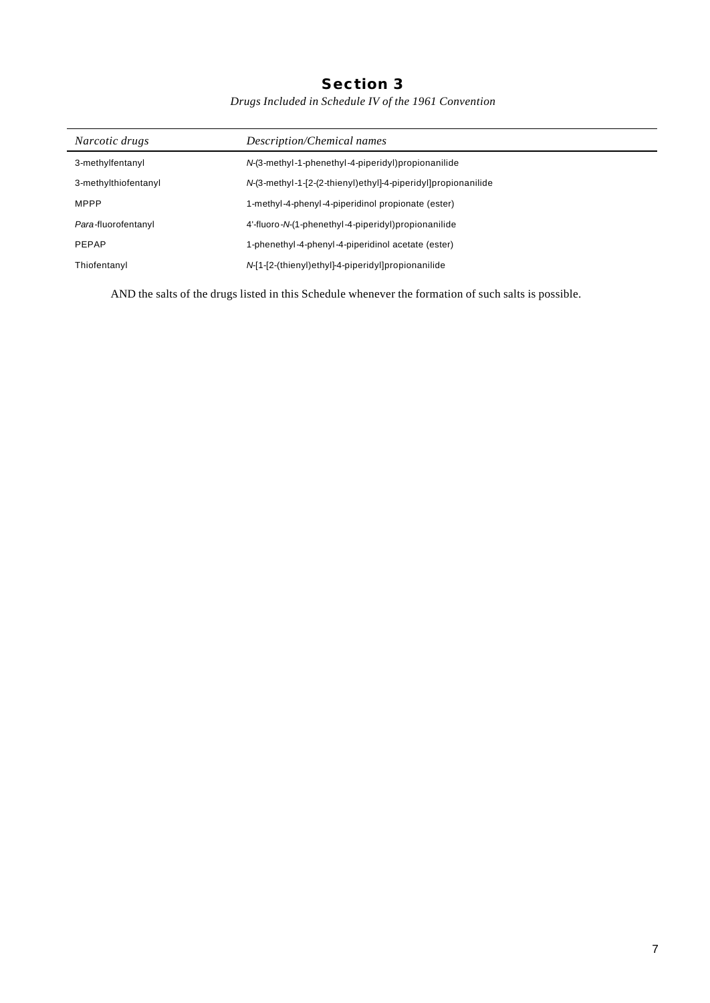### **Section 3**

*Drugs Included in Schedule IV of the 1961 Convention*

| Narcotic drugs       | Description/Chemical names                                    |  |
|----------------------|---------------------------------------------------------------|--|
| 3-methylfentanyl     | N-(3-methyl-1-phenethyl-4-piperidyl)propionanilide            |  |
| 3-methylthiofentanyl | N-(3-methyl-1-[2-(2-thienyl)ethyl]-4-piperidyl]propionanilide |  |
| <b>MPPP</b>          | 1-methyl-4-phenyl-4-piperidinol propionate (ester)            |  |
| Para-fluorofentanyl  | 4'-fluoro-N-(1-phenethyl-4-piperidyl)propionanilide           |  |
| <b>PEPAP</b>         | 1-phenethyl-4-phenyl-4-piperidinol acetate (ester)            |  |
| Thiofentanyl         | N-[1-[2-(thienyl)ethyl]-4-piperidyl]propionanilide            |  |

AND the salts of the drugs listed in this Schedule whenever the formation of such salts is possible.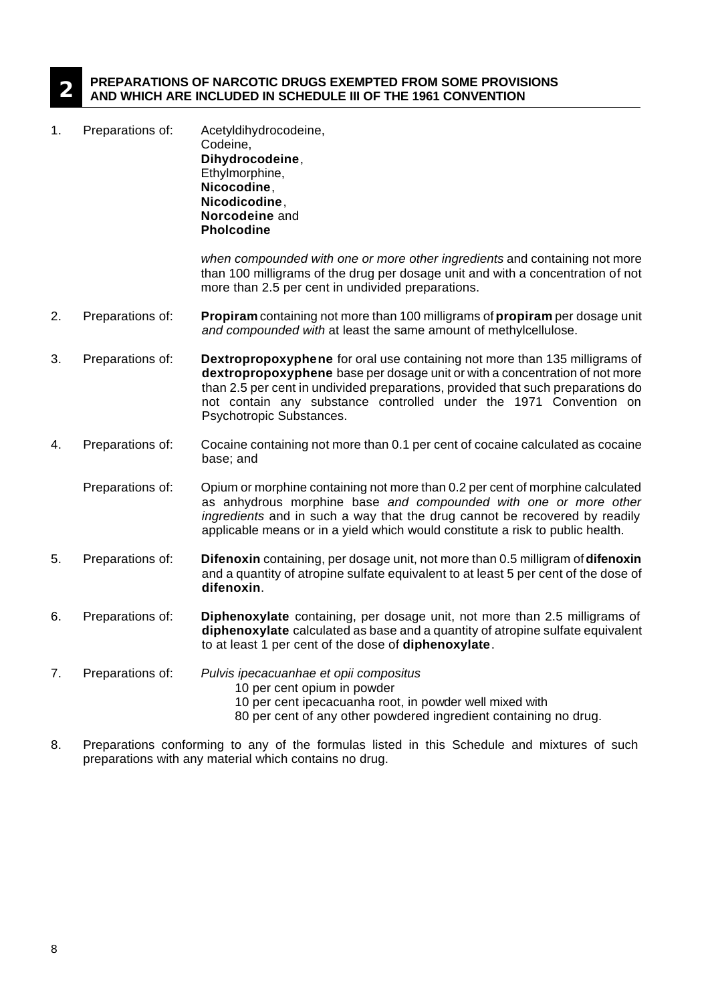#### **2 PREPARATIONS OF NARCOTIC DRUGS EXEMPTED FROM SOME PROVISIONS AND WHICH ARE INCLUDED IN SCHEDULE III OF THE 1961 CONVENTION**

1. Preparations of: Acetyldihydrocodeine, Codeine, **Dihydrocodeine**, Ethylmorphine, **Nicocodine**, **Nicodicodine**, **Norcodeine** and **Pholcodine**

> *when compounded with one or more other ingredients* and containing not more than 100 milligrams of the drug per dosage unit and with a concentration of not more than 2.5 per cent in undivided preparations.

- 2. Preparations of: **Propiram** containing not more than 100 milligrams of **propiram** per dosage unit *and compounded with* at least the same amount of methylcellulose.
- 3. Preparations of: **Dextropropoxyphene** for oral use containing not more than 135 milligrams of **dextropropoxyphene** base per dosage unit or with a concentration of not more than 2.5 per cent in undivided preparations, provided that such preparations do not contain any substance controlled under the 1971 Convention on Psychotropic Substances.
- 4. Preparations of: Cocaine containing not more than 0.1 per cent of cocaine calculated as cocaine base; and
	- Preparations of: Opium or morphine containing not more than 0.2 per cent of morphine calculated as anhydrous morphine base *and compounded with one or more other ingredients* and in such a way that the drug cannot be recovered by readily applicable means or in a yield which would constitute a risk to public health.
- 5. Preparations of: **Difenoxin** containing, per dosage unit, not more than 0.5 milligram of **difenoxin** and a quantity of atropine sulfate equivalent to at least 5 per cent of the dose of **difenoxin**.
- 6. Preparations of: **Diphenoxylate** containing, per dosage unit, not more than 2.5 milligrams of **diphenoxylate** calculated as base and a quantity of atropine sulfate equivalent to at least 1 per cent of the dose of **diphenoxylate**.
- 7. Preparations of: *Pulvis ipecacuanhae et opii compositus*
	- 10 per cent opium in powder
		- 10 per cent ipecacuanha root, in powder well mixed with
	- 80 per cent of any other powdered ingredient containing no drug.
- 8. Preparations conforming to any of the formulas listed in this Schedule and mixtures of such preparations with any material which contains no drug.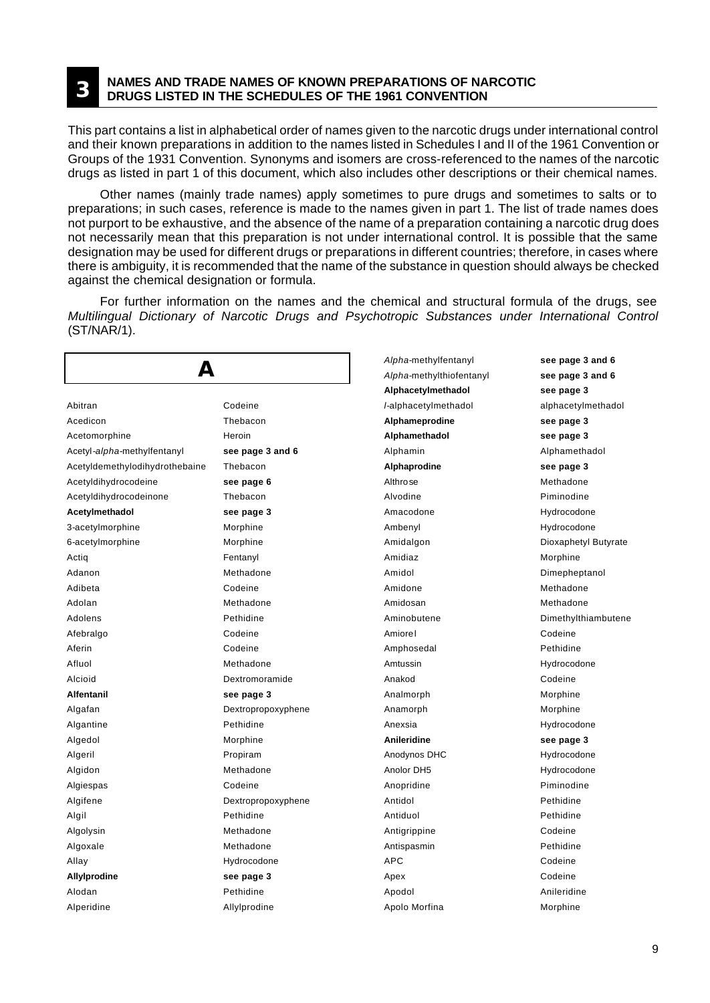#### **3 NAMES AND TRADE NAMES OF KNOWN PREPARATIONS OF NARCOTIC DRUGS LISTED IN THE SCHEDULES OF THE 1961 CONVENTION**

This part contains a list in alphabetical order of names given to the narcotic drugs under international control and their known preparations in addition to the names listed in Schedules I and II of the 1961 Convention or Groups of the 1931 Convention. Synonyms and isomers are cross-referenced to the names of the narcotic drugs as listed in part 1 of this document, which also includes other descriptions or their chemical names.

Other names (mainly trade names) apply sometimes to pure drugs and sometimes to salts or to preparations; in such cases, reference is made to the names given in part 1. The list of trade names does not purport to be exhaustive, and the absence of the name of a preparation containing a narcotic drug does not necessarily mean that this preparation is not under international control. It is possible that the same designation may be used for different drugs or preparations in different countries; therefore, in cases where there is ambiguity, it is recommended that the name of the substance in question should always be checked against the chemical designation or formula.

For further information on the names and the chemical and structural formula of the drugs, see *Multilingual Dictionary of Narcotic Drugs and Psychotropic Substances under International Control* (ST/NAR/1).

| Д                              |                    | Alpha-methylfentanyl     | see page 3 and 6     |
|--------------------------------|--------------------|--------------------------|----------------------|
|                                |                    | Alpha-methylthiofentanyl | see page 3 and 6     |
|                                |                    | Alphacetylmethadol       | see page 3           |
| Abitran                        | Codeine            | /-alphacetylmethadol     | alphacetylmethadol   |
| Acedicon                       | Thebacon           | Alphameprodine           | see page 3           |
| Acetomorphine                  | Heroin             | Alphamethadol            | see page 3           |
| Acetyl-alpha-methylfentanyl    | see page 3 and 6   | Alphamin                 | Alphamethadol        |
| Acetyldemethylodihydrothebaine | Thebacon           | Alphaprodine             | see page 3           |
| Acetyldihydrocodeine           | see page 6         | Althro se                | Methadone            |
| Acetyldihydrocodeinone         | Thebacon           | Alvodine                 | Piminodine           |
| Acetylmethadol                 | see page 3         | Amacodone                | Hydrocodone          |
| 3-acetylmorphine               | Morphine           | Ambenyl                  | Hydrocodone          |
| 6-acetylmorphine               | Morphine           | Amidalgon                | Dioxaphetyl Butyrate |
| Actiq                          | Fentanyl           | Amidiaz                  | Morphine             |
| Adanon                         | Methadone          | Amidol                   | Dimepheptanol        |
| Adibeta                        | Codeine            | Amidone                  | Methadone            |
| Adolan                         | Methadone          | Amidosan                 | Methadone            |
| Adolens                        | Pethidine          | Aminobutene              | Dimethylthiambutene  |
| Afebralgo                      | Codeine            | Amiorel                  | Codeine              |
| Aferin                         | Codeine            | Amphosedal               | Pethidine            |
| Afluol                         | Methadone          | Amtussin                 | Hydrocodone          |
| Alcioid                        | Dextromoramide     | Anakod                   | Codeine              |
| <b>Alfentanil</b>              | see page 3         | Analmorph                | Morphine             |
| Algafan                        | Dextropropoxyphene | Anamorph                 | Morphine             |
| Algantine                      | Pethidine          | Anexsia                  | Hydrocodone          |
| Algedol                        | Morphine           | <b>Anileridine</b>       | see page 3           |
| Algeril                        | Propiram           | Anodynos DHC             | Hydrocodone          |
| Algidon                        | Methadone          | Anolor DH5               | Hydrocodone          |
| Algiespas                      | Codeine            | Anopridine               | Piminodine           |
| Algifene                       | Dextropropoxyphene | Antidol                  | Pethidine            |
| Algil                          | Pethidine          | Antiduol                 | Pethidine            |
| Algolysin                      | Methadone          | Antigrippine             | Codeine              |
| Algoxale                       | Methadone          | Antispasmin              | Pethidine            |
| Allay                          | Hydrocodone        | <b>APC</b>               | Codeine              |
| Allylprodine                   | see page 3         | Apex                     | Codeine              |
| Alodan                         | Pethidine          | Apodol                   | Anileridine          |
| Alperidine                     | Allylprodine       | Apolo Morfina            | Morphine             |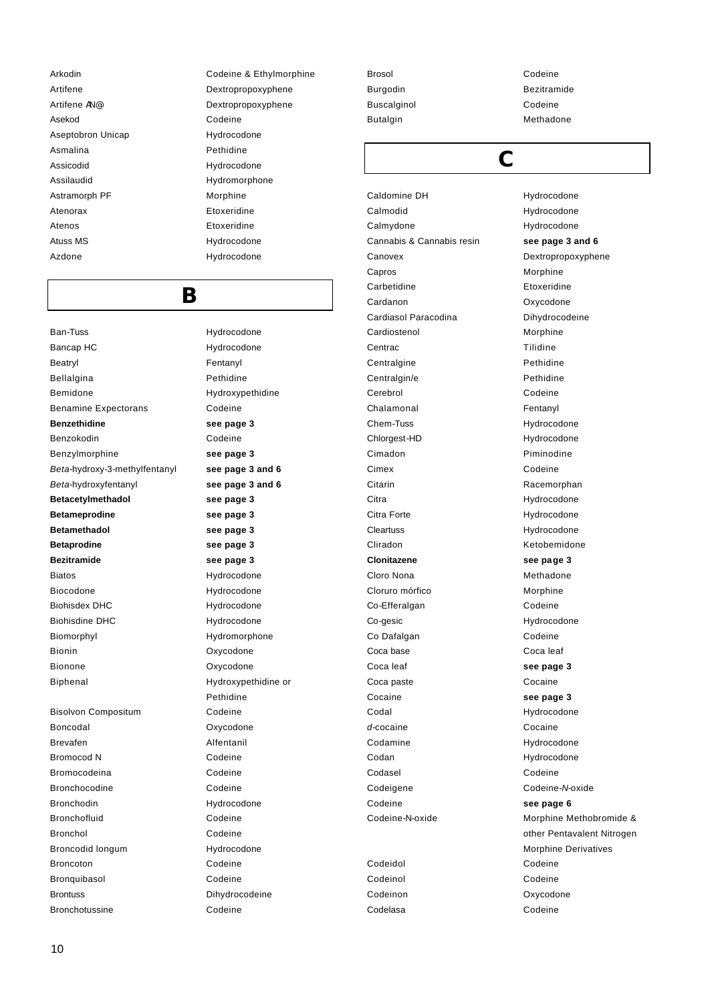Asekod Codeine Aseptobron Unicap Hydrocodone Asmalina **Pethidine** Assicodid Hydrocodone Assilaudid Hydromorphone Astramorph PF Morphine Atenorax Etoxeridine Atenos **Etoxeridine** Atuss MS **Hydrocodone** Azdone Hydrocodone

# **B**

Ban-Tuss **Hydrocodone** Bancap HC Hydrocodone Beatryl **Fentanyl** Bellalgina **Pethidine** Bemidone Hydroxypethidine Benamine Expectorans Codeine **Benzethidine see page 3** Benzokodin Codeine Benzylmorphine **see page 3** *Beta*-hydroxy-3-methylfentanyl **see page 3 and 6** *Beta*-hydroxyfentanyl **see page 3 and 6 Betacetylmethadol see page 3 Betameprodine see page 3 Betamethadol see page 3 Betaprodine see page 3 Bezitramide see page 3** Biatos Hydrocodone Biocodone Hydrocodone Biohisdex DHC Hydrocodone Biohisdine DHC Hydrocodone Biomorphyl Hydromorphone Bionin Oxycodone Bionone Oxycodone Biphenal Hydroxypethidine or Bisolvon Compositum Codeine Boncodal Oxycodone Brevafen **Alfentanil** Bromocod N Codeine Bromocodeina Codeine Bronchocodine Codeine Bronchodin Hydrocodone

Arkodin Codeine & Ethylmorphine Artifene Dextropropoxyphene Artifene AN@ Dextropropoxyphene

Pethidine Bronchofluid Codeine Bronchol Codeine Broncodid longum Hydrocodone Broncoton Codeine Bronquibasol Codeine Brontuss Dihydrocodeine

Brosol Codeine Burgodin **Bezitramide** Buscalginol **Codeine** Butalgin Methadone

Caldomine DH Hydrocodone Calmodid Hydrocodone Calmydone **Hydrocodone** Cannabis & Cannabis resin **see page 3 and 6** Canovex Dextropropoxyphene Capros Morphine Carbetidine **Etoxeridine** Cardanon **Oxycodone** Cardiasol Paracodina **Dihydrocodeine** Cardiostenol Morphine Centrac **Tilidine** Centralgine **Pethidine** Centralgin/e Pethidine Cerebrol Codeine Chalamonal **Fentanyl** Chem-Tuss Hydrocodone Chlorgest-HD Hydrocodone Cimadon **Piminodine** Cimex Codeine Citarin Racemorphan Citra Hydrocodone Citra Forte **Hydrocodone** Cleartuss Hydrocodone Cliradon **Ketobemidone Clonitazene see page 3** Cloro Nona **Methadone** Cloruro mórfico Morphine Co-Efferalgan Codeine Co-gesic Hydrocodone Co Dafalgan Codeine Coca base Coca leaf Coca leaf **see page 3** Coca paste **Cocaine** Cocaine **see page 3** Codal **Hydrocodone** *d*-cocaine **Cocaine** Codamine **Hydrocodone** Codan Hydrocodone Codasel Codeine Codeigene Codeine-*N*-oxide Codeine **see page 6**

Codeinol Codeine Codelasa Codeine

# **C**

Codeine-N-oxide Morphine Methobromide & other Pentavalent Nitrogen Morphine Derivatives Codeidol Codeine Codeinon Oxycodone

Bronchotussine Codeine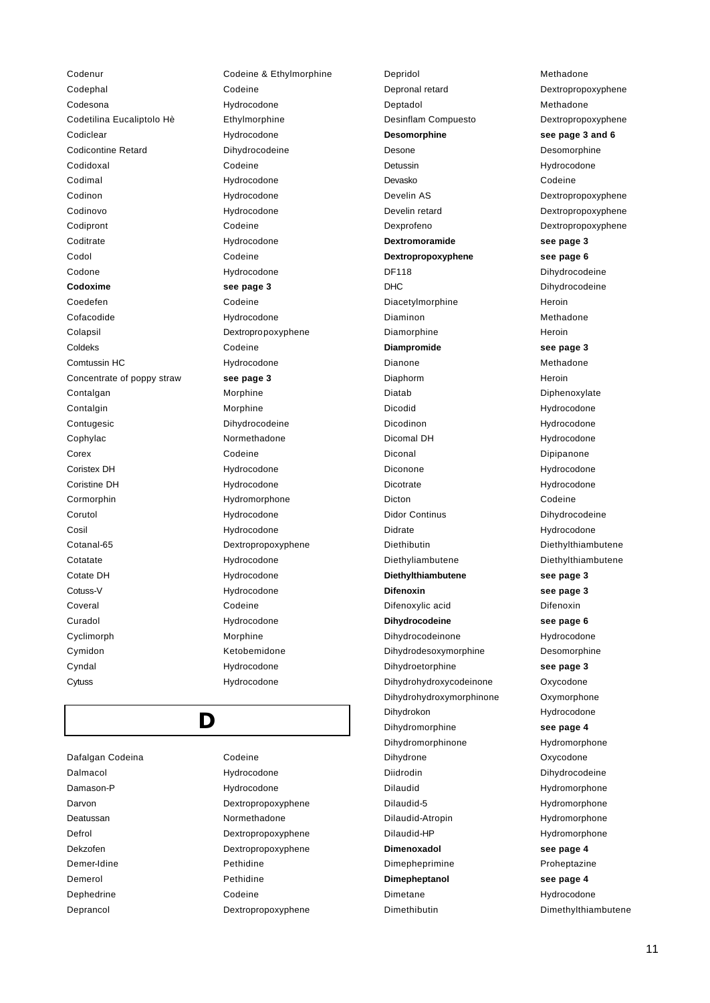Codenur Codeine & Ethylmorphine Codephal Codeine Codesona **Hydrocodone** Codetilina Eucaliptolo Hè Ethylmorphine Codiclear **Hydrocodone** Codicontine Retard **Dihydrocodeine** Codidoxal Codeine Codimal Hydrocodone Codinon Hydrocodone Codinovo Hydrocodone Codipront Codeine Coditrate Hydrocodone Codol Codeine Codone Hydrocodone **Codoxime see page 3** Coedefen Codeine Cofacodide Hydrocodone Colapsil Dextropropoxyphene Coldeks Codeine Comtussin HC Hydrocodone Concentrate of poppy straw **see page 3** Contalgan Morphine Contalgin Morphine Contugesic **Dihydrocodeine** Cophylac Normethadone Corex Codeine Coristex DH **Hydrocodone** Coristine DH Hydrocodone Cormorphin Hydromorphone Corutol **Hydrocodone** Cosil Hydrocodone Cotanal-65 Dextropropoxyphene Cotatate Hydrocodone Cotate DH Hydrocodone Cotuss-V Hydrocodone Coveral Codeine Curadol Hydrocodone Cyclimorph Morphine Cymidon **Ketobemidone** Cyndal Hydrocodone Cytuss Hydrocodone

**D**

Dafalgan Codeina **Codeine** Dalmacol Hydrocodone Damason-P Hydrocodone Deatussan Normethadone Demer-Idine Pethidine Demerol Pethidine Dephedrine Codeine

Darvon Dextropropoxyphene Defrol Dextropropoxyphene Dekzofen Dextropropoxyphene Deprancol Dextropropoxyphene Depronal retard Dextropropoxyphene Deptadol Methadone Desinflam Compuesto **Dextropropoxyphene Desomorphine see page 3 and 6**  Desone Desomorphine Detussin Hydrocodone Devasko Codeine Develin AS Dextropropoxyphene Develin retard Dextropropoxyphene Dexprofeno Dextropropoxyphene **Dextromoramide see page 3 Dextropropoxyphene see page 6** DF118 Dihydrocodeine DHC Dihydrocodeine Diacetylmorphine Heroin Diaminon Methadone Diamorphine Heroin **Diampromide see page 3** Dianone Methadone Diaphorm Heroin Diatab Diphenoxylate Dicodid Hydrocodone Dicodinon Hydrocodone Dicomal DH Hydrocodone Diconal Dipipanone Diconone Hydrocodone Dicotrate Hydrocodone Dicton Codeine Didor Continus **Diffusion Diffusion Diffusion** Didrate Hydrocodone Diethibutin Diethylthiambutene Diethyliambutene Diethylthiambutene **Diethylthiambutene see page 3 Difenoxin see page 3** Difenoxylic acid Difenoxin **Dihydrocodeine see page 6** Dihydrocodeinone Hydrocodone Dihydrodesoxymorphine Desomorphine Dihydroetorphine **see page 3** Dihydrohydroxycodeinone Oxycodone Dihydrohydroxymorphinone Oxymorphone Dihydrokon Hydrocodone Dihydromorphine **see page 4** Dihydromorphinone Hydromorphone Dihydrone Oxycodone Diidrodin Dihydrocodeine Dilaudid Hydromorphone Dilaudid-5 Hydromorphone Dilaudid-Atropin Hydromorphone Dilaudid-HP Hydromorphone **Dimenoxadol see page 4** Dimepheprimine Proheptazine **Dimepheptanol see page 4** Dimetane **Hydrocodone** Dimethibutin Dimethylthiambutene

Depridol Methadone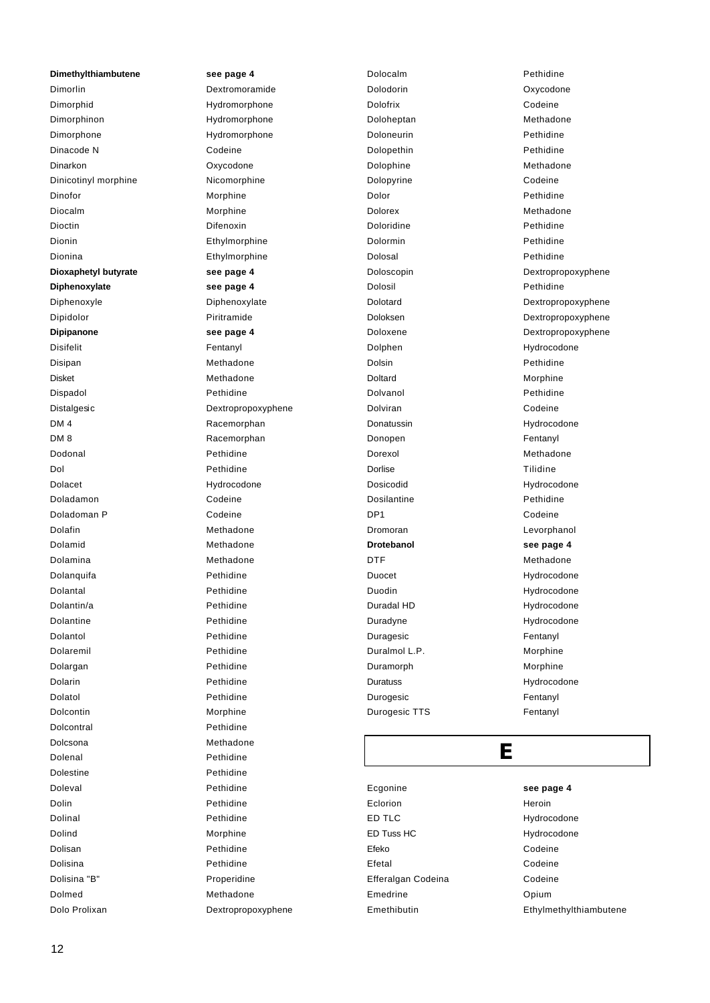**Dimethylthiambutene see page 4** Dimorlin Dextromoramide Dimorphid Hydromorphone Dimorphinon Hydromorphone Dimorphone Hydromorphone Dinacode N Codeine Dinarkon Oxycodone Dinicotinyl morphine Nicomorphine Dinofor Morphine Diocalm Morphine Dioctin Difenoxin Dionin Ethylmorphine Dionina Ethylmorphine **Dioxaphetyl butyrate see page 4 Diphenoxylate see page 4** Diphenoxyle Diphenoxylate Dipidolor Piritramide **Dipipanone see page 4** Disifelit Fentanyl Disipan Methadone Disket Methadone Dispadol Pethidine Distalgesic **Distalgesic** Dextropropoxyphene DM 4 Racemorphan DM 8 Racemorphan Dodonal Pethidine Dol Pethidine Dolacet Hydrocodone Doladamon Codeine Doladoman P Codeine Dolafin Methadone Dolamid Methadone Dolamina Methadone Dolanquifa **Pethidine** Dolantal Pethidine Dolantin/a Pethidine Dolantine Pethidine Dolantol Pethidine Dolaremil Pethidine Dolargan Pethidine Dolarin **Pethidine** Dolatol Pethidine Dolcontin Morphine Dolcontral **Pethidine** Dolcsona Methadone Dolenal Pethidine Dolestine Pethidine Doleval **Pethidine** Dolin Pethidine Dolinal Pethidine Dolind Morphine Dolisan **Pethidine** Dolisina Pethidine Dolisina "B" Properidine Dolmed Methadone

Dolo Prolixan Dextropropoxyphene

Dolocalm **Pethidine** Dolodorin Oxycodone Dolofrix Codeine Doloheptan Methadone Doloneurin Pethidine Dolopethin **Pethidine** Dolophine Methadone Dolopyrine Codeine Dolor Pethidine Dolorex Methadone Doloridine Pethidine Dolormin Pethidine Dolosal Pethidine Doloscopin Dextropropoxyphene Dolosil Pethidine Dolotard Dextropropoxyphene Doloksen Dextropropoxyphene Doloxene Dextropropoxyphene Dolphen Hydrocodone Dolsin Pethidine Doltard Morphine Dolvanol **Pethidine** Dolviran Codeine Donatussin **Hydrocodone** Donopen Fentanyl Dorexol Methadone Dorlise Tilidine Dosicodid Hydrocodone Dosilantine **Pethidine** DP1 Codeine Dromoran Levorphanol **Drotebanol see page 4** DTF Methadone Duocet Hydrocodone Duodin Hydrocodone Duradal HD Hydrocodone Duradyne Hydrocodone Duragesic **Fentanyl** Duralmol L.P. Morphine Duramorph Morphine Duratuss Hydrocodone Durogesic **Fentanyl** Durogesic TTS Fentanyl

## **E**

Ecgonine **see page 4** Eclorion **Heroin** ED TLC Hydrocodone ED Tuss HC Hydrocodone Efeko Codeine Efetal Codeine Efferalgan Codeina **Codeine** Emedrine Opium Emethibutin Ethylmethylthiambutene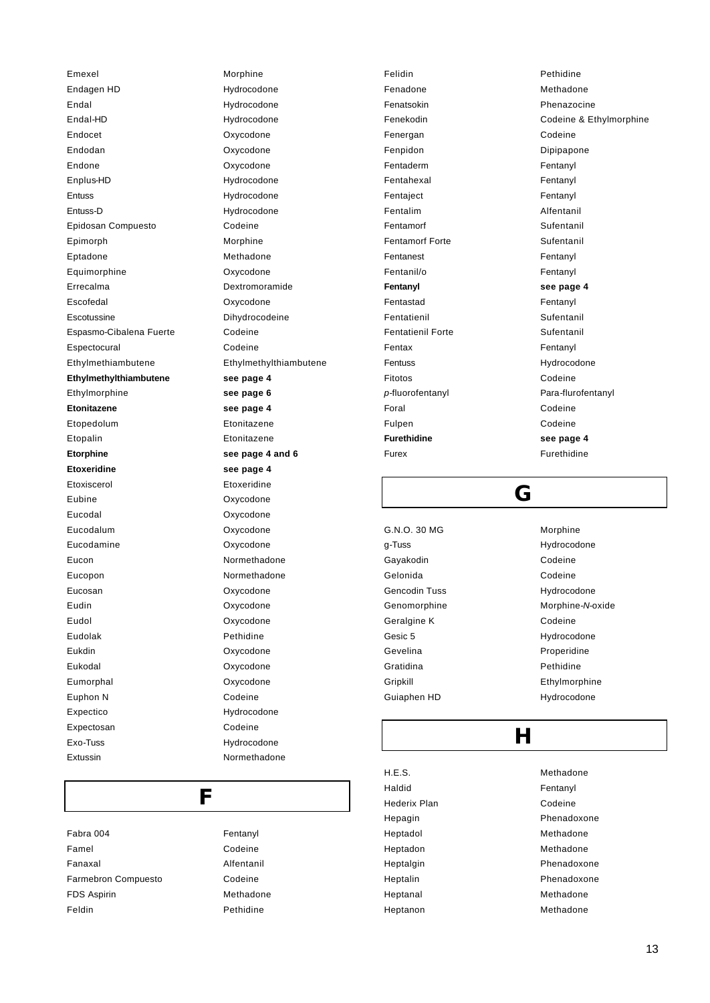Emexel Morphine Endagen HD Hydrocodone Endal Hydrocodone Endal-HD Hydrocodone Endocet Oxycodone Endodan Oxycodone Endone Oxycodone Enplus-HD Hydrocodone Entuss Hydrocodone Entuss-D Hydrocodone Epidosan Compuesto Codeine Epimorph Morphine Eptadone Methadone Equimorphine Oxycodone Errecalma Dextromoramide Escofedal Oxycodone Escotussine Dihydrocodeine Espasmo-Cibalena Fuerte Codeine Espectocural Codeine Ethylmethiambutene Ethylmethylthiambutene **Ethylmethylthiambutene see page 4** Ethylmorphine **see page 6 Etonitazene see page 4** Etopedolum Etonitazene Etopalin Etonitazene **Etorphine See page 4 and 6 Etoxeridine see page 4** Etoxiscerol Etoxeridine Eubine Oxycodone Eucodal Oxycodone Eucodalum Oxycodone Eucodamine Oxycodone Eucon Normethadone Eucopon Normethadone Eucosan Oxycodone Eudin Oxycodone Eudol Oxycodone Eudolak Pethidine Eukdin Oxycodone Eukodal Oxycodone Eumorphal Oxycodone Euphon N Codeine Expectico Hydrocodone Expectosan Codeine Exo-Tuss Hydrocodone

**F** Fabra 004 Fentanyl Famel Codeine Fanaxal Alfentanil Farmebron Compuesto **Codeine** FDS Aspirin Methadone Feldin Pethidine

Extussin Normethadone

Felidin Pethidine Fenadone Methadone Fenatsokin **Phenazocine** Fenergan Codeine Fenpidon Dipipapone Fentaderm Fentanyl Fentahexal Fentanyl Fentaject **Fentanyl** Fentalim Alfentanil Fentamorf Sufentanil Fentamorf Forte Sufentanil Fentanest Fentanyl Fentanil/o Fentanyl **Fentanyl see page 4** Fentastad Fentanyl Fentatienil **Sufentanil** Sufentanil Fentatienil Forte **Sufentanil** Fentax Fentanyl Fentuss Hydrocodone Fitotos Codeine p-fluorofentanyl **Para-flurofentanyl** Foral Codeine Fulpen Codeine **Furethidine see page 4** Furex Furethidine

Fenekodin Codeine & Ethylmorphine

### **G**

G.N.O. 30 MG Morphine g-Tuss Hydrocodone Gayakodin **Codeine** Gelonida Codeine Gencodin Tuss **Hydrocodone** Genomorphine Morphine-Noxide Geralgine K Codeine Gesic 5 Hydrocodone Gevelina **Properidine** Gratidina **Pethidine** Gripkill Ethylmorphine Guiaphen HD Hydrocodone

## **H**

H.E.S. Methadone Haldid Fentanyl Hederix Plan Codeine Hepagin **Phenadoxone** Heptadol Methadone Heptadon Methadone Heptalgin **Phenadoxone** Heptalin **Phenadoxone** Heptanal Methadone Heptanon Methadone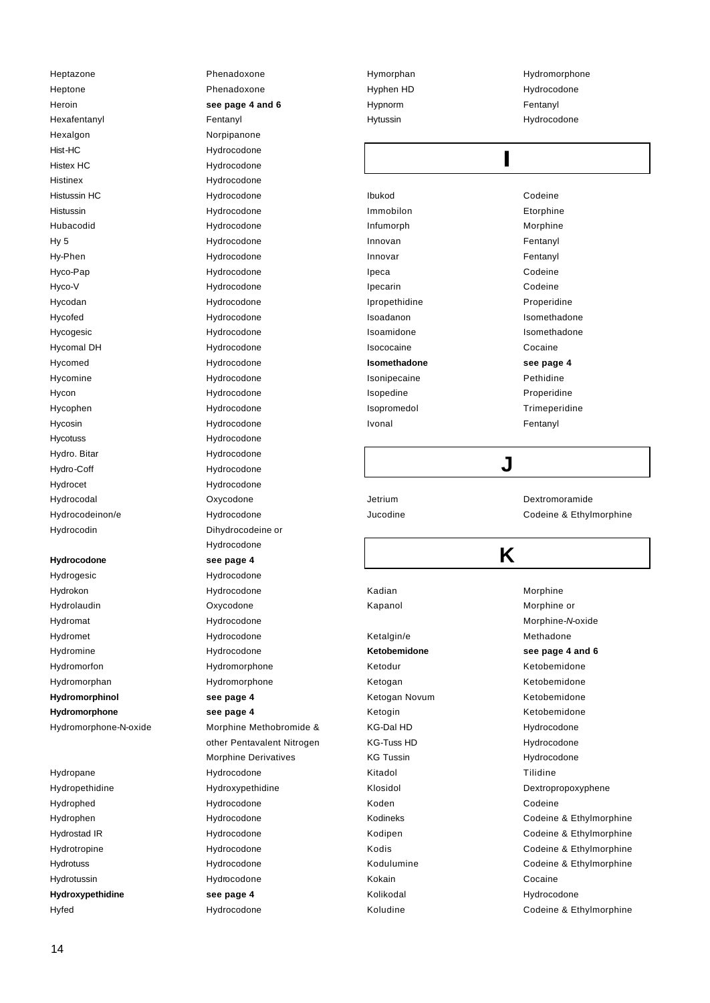Heptazone **Phenadoxone** Heptone Phenadoxone Hexafentanyl **Fentanyl** Hexalgon Norpipanone Hist-HC Hydrocodone Histex HC **Hydrocodone** Histinex Hydrocodone Histussin HC Hydrocodone Histussin Hydrocodone Hubacodid Hydrocodone Hy 5 Hydrocodone Hy-Phen Hydrocodone Hyco-Pap Hydrocodone Hyco-V Hydrocodone Hycodan Hydrocodone Hycofed Hydrocodone Hycogesic Hydrocodone Hycomal DH Hydrocodone Hycomed Hydrocodone Hycomine Hydrocodone Hycon Hydrocodone Hycophen Hydrocodone Hycosin Hydrocodone Hycotuss Hydrocodone Hydro. Bitar **Hydrocodone** Hydro-Coff Hydrocodone Hydrocet Hydrocodone Hydrocodal Oxycodone Hydrocodeinon/e Hydrocodone

Hydrogesic Hydrocodone Hydrokon Hydrocodone Hydrolaudin Oxycodone Hydromat Hydrocodone Hydromet Hydrocodone Hydromine Hydrocodone Hydromorfon Hydromorphone Hydromorphan Hydromorphone **Hydromorphinol see page 4 Hydromorphone see page 4**

Hydropane Hydrocodone Hydrophed Hydrocodone Hydrophen Hydrocodone Hydrostad IR Hydrocodone Hydrotropine Hydrocodone Hydrotuss Hydrocodone Hydrotussin Hydrocodone **Hydroxypethidine see page 4**

Heroin **See page 4 and 6** Hydrocodin Dihydrocodeine or Hydrocodone **Hydrocodone see page 4** Hydromorphone-N-oxide Morphine Methobromide & other Pentavalent Nitrogen Morphine Derivatives Hydropethidine Hydroxypethidine Hyfed Hydrocodone

Hypnorm Fentanyl

Hymorphan Hydromorphone Hyphen HD **Hydrocodone** Hytussin **Hydrocodone** 

| Ibukod        | Codeine       |  |  |
|---------------|---------------|--|--|
| Immobilon     | Etorphine     |  |  |
| Infumorph     | Morphine      |  |  |
| Innovan       | Fentanyl      |  |  |
| Innovar       | Fentanyl      |  |  |
| Ipeca         | Codeine       |  |  |
| Ipecarin      | Codeine       |  |  |
| Ipropethidine | Properidine   |  |  |
| Isoadanon     | Isomethadone  |  |  |
| Isoamidone    | Isomethadone  |  |  |
| Isococaine    | Cocaine       |  |  |
| Isomethadone  | see page 4    |  |  |
| Isonipecaine  | Pethidine     |  |  |
| Isopedine     | Properidine   |  |  |
| Isopromedol   | Trimeperidine |  |  |
| <b>Ivonal</b> | Fentanyl      |  |  |
|               |               |  |  |
|               |               |  |  |
|               |               |  |  |

Jetrium Dextromoramide Jucodine Codeine & Ethylmorphine

# **K**

Kadian Morphine

**Ketobemidone see page 4 and 6** Ketodur Ketobemidone Ketogan Ketobemidone Ketogan Novum **Ketobemidone** Ketogin Ketobemidone KG-Dal HD Hydrocodone KG-Tuss HD **Hydrocodone** KG Tussin **Hydrocodone** Kitadol Tilidine Koden Codeine Kokain Cocaine Kolikodal **Hydrocodone** Koludine Codeine & Ethylmorphine

Kapanol **Morphine** or Morphine-*N*-oxide Ketalgin/e Methadone Klosidol Dextropropoxyphene Kodineks **Codeine & Ethylmorphine** Kodipen Codeine & Ethylmorphine Kodis Codeine & Ethylmorphine Kodulumine Codeine & Ethylmorphine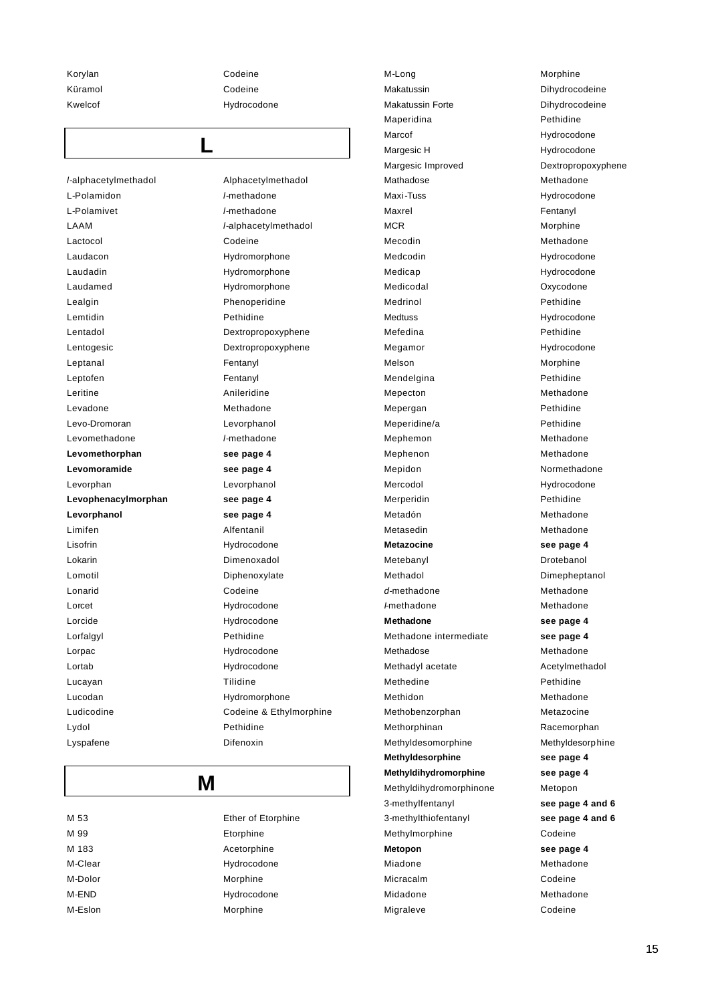Korylan Codeine Küramol Codeine Kwelcof Hydrocodone

**L**

*l*-alphacetylmethadol Alphacetylmethadol L-Polamidon *l*-methadone L-Polamivet *l*-methadone LAAM *l*-alphacetylmethadol Lactocol Codeine Laudacon Hydromorphone Laudadin Hydromorphone Laudamed Hydromorphone Lealgin **Phenoperidine** Lemtidin Pethidine Lentadol Dextropropoxyphene Lentogesic Dextropropoxyphene Leptanal **Fentanyl** Leptofen Fentanyl Leritine **Anileridine** Levadone Methadone Levo-Dromoran Levorphanol Levomethadone *l*-methadone **Levomethorphan see page 4 Levomoramide see page 4** Levorphan Levorphanol **Levophenacylmorphan see page 4 Levorphanol see page 4** Limifen **Alfentanil** Lisofrin Hydrocodone Lokarin **Dimenoxadol** Lomotil Diphenoxylate Lonarid Codeine Lorcet Hydrocodone Lorcide Hydrocodone Lorfalgyl Pethidine Lorpac **Hydrocodone** Lortab Hydrocodone Lucayan **Tilidine** Lucodan Hydromorphone Ludicodine Codeine & Ethylmorphine Lydol Pethidine Lyspafene Difenoxin

# **M**

| M 53    | Ether of Etorphine |
|---------|--------------------|
| M 99    | Etorphine          |
| M 183   | Acetorphine        |
| M-Clear | Hydrocodone        |
| M-Dolor | Morphine           |
| M-END   | Hydrocodone        |
| M-Eslon | Morphine           |

M-Long Morphine Makatussin **Dihydrocodeine** Makatussin Forte Dihydrocodeine Maperidina **Pethidine** Marcof Marcof Hydrocodone Margesic H **Hydrocodone** Margesic Improved Dextropropoxyphene Mathadose Methadone Maxi-Tuss **Maxi-Tuss** Hydrocodone Maxrel **Fentanyl** MCR Morphine Mecodin Methadone Medcodin Hydrocodone Medicap Medicap Hydrocodone Medicodal Oxycodone Medrinol **Pethidine** Medtuss **Medtuss** Hydrocodone Mefedina **Pethidine** Megamor **Manufather Hydrocodone** Melson Morphine Mendelgina **Pethidine** Mepecton Methadone Mepergan **Pethidine** Meperidine/a Pethidine Mephemon Methadone Mephenon Methadone Mepidon Normethadone Mercodol Mercodone Hydrocodone Merperidin **Pethidine** Metadón **Methadone** Metasedin Methadone **Metazocine see page 4** Metebanyl Drotebanol Methadol Dimepheptanol *d*-methadone Methadone *I*-methadone Methadone **Methadone see page 4** Methadone intermediate **see page 4** Methadose Methadone Methadyl acetate Acetylmethadol Methedine **Pethidine** Methidon Methadone Methobenzorphan Metazocine Methorphinan Racemorphan Methyldesomorphine Methyldesorphine **Methyldesorphine see page 4 Methyldihydromorphine see page 4** Methyldihydromorphinone Metopon 3-methylfentanyl **see page 4 and 6** 3-methylthiofentanyl **see page 4 and 6** Methylmorphine Codeine **Metopon see page 4** Miadone Methadone Micracalm **Codeine** Midadone Methadone Migraleve Codeine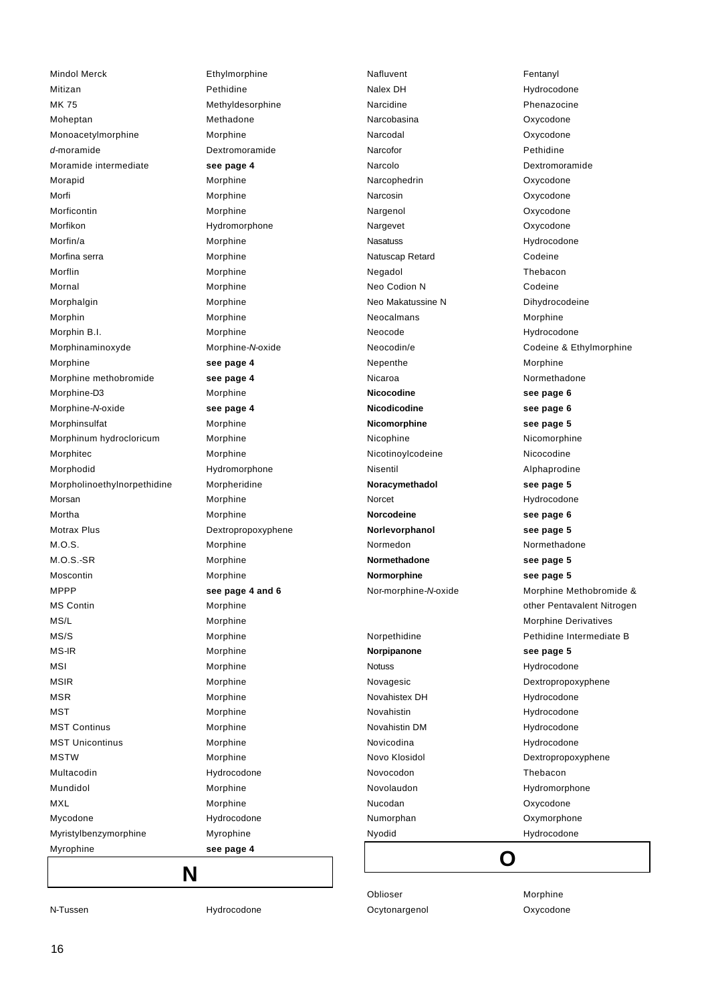Mindol Merck **Ethylmorphine** Mitizan Pethidine MK 75 Methyldesorphine Moheptan Methadone Monoacetylmorphine Morphine *d*-moramide Dextromoramide Moramide intermediate **see page 4** Morapid Morphine Morfi Morphine Morficontin Morphine Morfikon Hydromorphone Morfin/a Morphine Morfina serra **Morphine** Morflin Morphine Mornal Morphine Morphalgin Morphine Morphin Morphine Morphin B.I. Morphine Morphinaminoxyde Morphine-*N*-oxide Morphine **see page 4** Morphine methobromide **see page 4** Morphine-D3 Morphine Morphine-*N*-oxide **see page 4** Morphinsulfat Morphine Morphinum hydrocloricum Morphine Morphitec Morphine Morphodid Hydromorphone Morpholinoethylnorpethidine Morpheridine Morsan Morphine Mortha **Mortha** Morphine Motrax Plus **Dextropropoxyphene** M.O.S. Morphine M.O.S.-SR Morphine Moscontin Morphine MPPP **see page 4 and 6** MS Contin Morphine MS/L Morphine MS/S Morphine MS-IR Morphine MSI Morphine MSIR Morphine MSR Morphine MST Morphine MST Continus Morphine MST Unicontinus Morphine MSTW Morphine Multacodin Hydrocodone Mundidol Morphine MXL Morphine Mycodone **Hydrocodone** Myristylbenzymorphine Myrophine Myrophine **see page 4**

Nalex DH Hydrocodone Narcidine **National Phenazocine** Narcobasina Oxycodone Narcodal **Oxycodone** Narcofor Pethidine Narcolo Dextromoramide Narcophedrin **Oxycodone** Narcosin **Oxycodone** Nargenol **Oxycodone** Nargevet **Oxycodone** Nasatuss Hydrocodone Natuscap Retard Codeine Negadol Thebacon Neo Codion N Codeine Neo Makatussine N Dihydrocodeine Neocalmans Morphine Neocode Hydrocodone Nepenthe Morphine Nicaroa Normethadone **Nicocodine see page 6 Nicodicodine see page 6 Nicomorphine see page 5** Nicophine Nicomorphine Nicotinoylcodeine Nicocodine Nisentil Alphaprodine **Noracymethadol see page 5** Norcet Hydrocodone **Norcodeine see page 6 Norlevorphanol see page 5** Normedon Normethadone **Normethadone see page 5 Normorphine see page 5 Norpipanone see page 5**

Nafluvent **Fentanyl** Neocodin/e Codeine & Ethylmorphine Nor-morphine-*N*-oxide Morphine Methobromide & other Pentavalent Nitrogen Morphine Derivatives Norpethidine **Notational Pethidine Intermediate B** Notuss Hydrocodone Novagesic **Dextropropoxyphene** Novahistex DH Hydrocodone Novahistin **Hydrocodone** Novahistin DM Hydrocodone Novicodina **Hydrocodone** Novo Klosidol **Dextropropoxyphene** Novocodon Thebacon Novolaudon Hydromorphone Nucodan Oxycodone Numorphan Oxymorphone Nyodid Hydrocodone **O**

Oblioser Morphine Ocytonargenol Oxycodone

N-Tussen Hydrocodone

**N**

16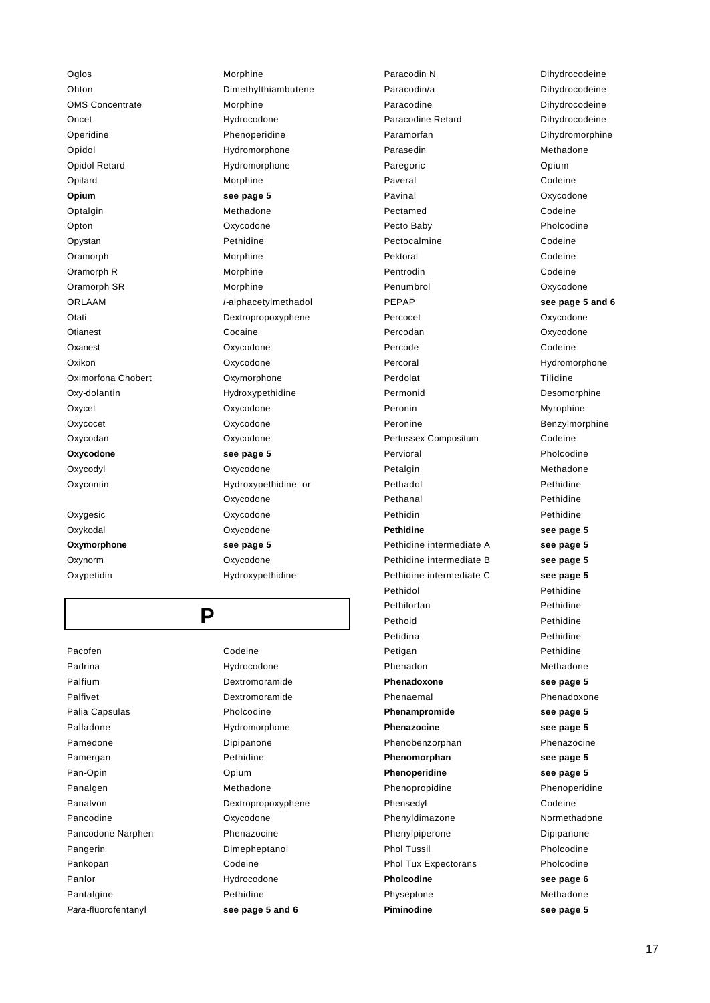Oglos Morphine Ohton Dimethylthiambutene OMS Concentrate Morphine Oncet Hydrocodone Operidine **Phenoperidine** Opidol **Hydromorphone** Opidol Retard Hydromorphone Opitard Morphine **Opium see page 5** Optalgin Methadone Opton Oxycodone Opystan Pethidine Oramorph Morphine Oramorph R Morphine Oramorph SR Morphine ORLAAM *l*-alphacetylmethadol Otati Dextropropoxyphene Otianest Cocaine Oxanest **Oxycodone** Oxikon Oxycodone Oximorfona Chobert **Oxymorphone** Oxy-dolantin Hydroxypethidine Oxycet Oxycodone Oxycocet Oxycodone Oxycodan Oxycodone **Oxycodone see page 5** Oxycodyl Oxycodone Oxycontin Hydroxypethidine or Oxygesic Oxycodone Oxykodal Oxycodone **Oxymorphone see page 5**

**P**

Pacofen Codeine Padrina **Hydrocodone** Palfium Dextromoramide Palfivet **Dextromoramide** Palia Capsulas **Pholcodine** Palladone Hydromorphone Pamedone Dipipanone Pamergan Pethidine Pan-Opin Opium Panalgen Methadone Panalvon Dextropropoxyphene Pancodine **Oxycodone** Pancodone Narphen Phenazocine Pangerin Dimepheptanol Pankopan Codeine Panlor **Hydrocodone** Pantalgine **Pethidine** *Para*-fluorofentanyl **see page 5 and 6**

Oxycodone Oxynorm Oxycodone Oxypetidin Hydroxypethidine

Paracodin N Dihydrocodeine Paracodin/a Dihydrocodeine Paracodine Dihydrocodeine Paracodine Retard Dihydrocodeine Paramorfan Dihydromorphine Parasedin Methadone Paregoric **Opium** Paveral Codeine Pavinal **Disk Contract Contract Contract Contract Contract Contract Contract Contract Contract Contract Contract Contract Contract Contract Contract Contract Contract Contract Contract Contract Contract Contract Contract C** Pectamed Codeine Pecto Baby **Pholcodine** Pectocalmine Codeine Pektoral Codeine Pentrodin Codeine Penumbrol **Oxycodone** PEPAP **see page 5 and 6** Percocet **Oxycodone** Percodan **Oxycodone** Percode Codeine Percoral Hydromorphone Perdolat Tilidine Permonid Desomorphine Peronin Myrophine Peronine **Benzylmorphine** Pertussex Compositum Codeine Pervioral Pholcodine Petalgin Methadone Pethadol Pethidine Pethanal Pethidine Pethidin Pethidine **Pethidine see page 5** Pethidine intermediate A **see page 5** Pethidine intermediate B **see page 5** Pethidine intermediate C **see page 5** Pethidol Pethidine Pethilorfan **Pethidine** Pethoid Pethidine Petidina Pethidine Petigan Pethidine Phenadon Methadone **Phenadoxone see page 5** Phenaemal Phenadoxone **Phenampromide see page 5 Phenazocine see page 5** Phenobenzorphan Phenazocine **Phenomorphan see page 5 Phenoperidine see page 5** Phenopropidine Phenoperidine Phensedyl Codeine Phenyldimazone Normethadone Phenylpiperone Dipipanone Phol Tussil **Pholcodine** Phol Tux Expectorans Pholcodine **Pholcodine see page 6** Physeptone Methadone **Piminodine see page 5**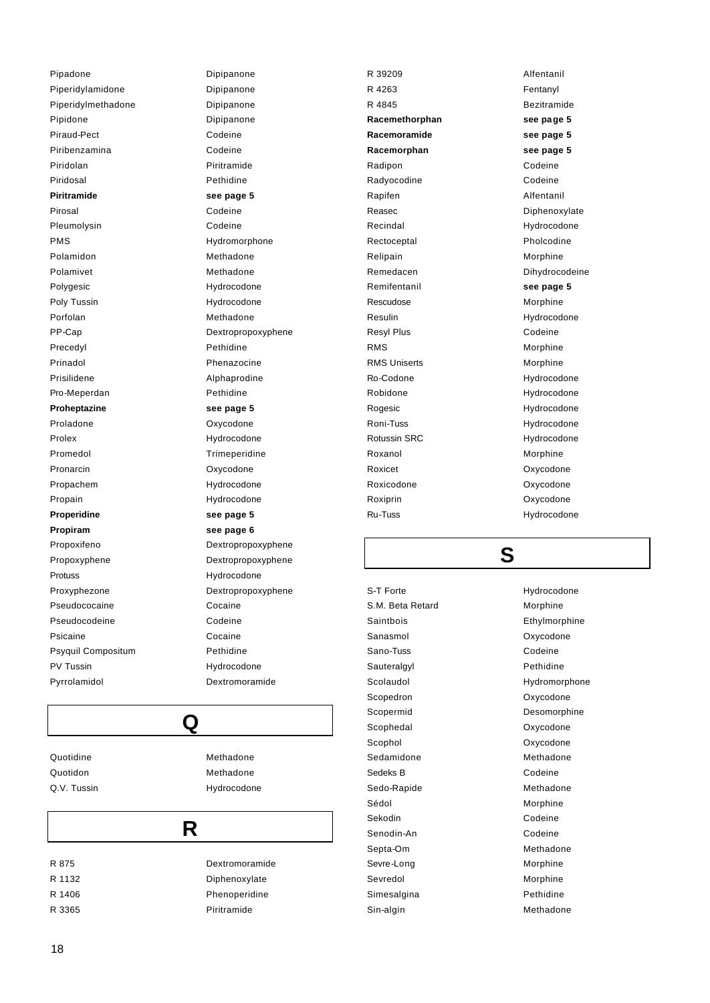Pipadone Dipipanone Piperidylamidone Dipipanone Piperidylmethadone Dipipanone Pipidone Dipipanone Piraud-Pect Codeine Piribenzamina Codeine Piridolan Piritramide Piridosal Pethidine **Piritramide see page 5** Pirosal Codeine Pleumolysin Codeine PMS Hydromorphone Polamidon Methadone Polamivet Methadone Polygesic **Hydrocodone** Poly Tussin **Hydrocodone** Porfolan Methadone PP-Cap Dextropropoxyphene Precedyl Pethidine Prinadol **Phenazocine** Prisilidene **Alphaprodine** Pro-Meperdan Pethidine **Proheptazine see page 5** Proladone **Oxycodone** Prolex Hydrocodone Promedol Trimeperidine Pronarcin **Oxycodone** Propachem Hydrocodone Propain Hydrocodone **Properidine see page 5 Propiram see page 6** Propoxifeno Dextropropoxyphene Propoxyphene Dextropropoxyphene Protuss Hydrocodone Proxyphezone Dextropropoxyphene Pseudococaine **Cocaine** Pseudocodeine **Codeine** Psicaine Cocaine Psyquil Compositum Pethidine PV Tussin **Hydrocodone** Pyrrolamidol Dextromoramide

Quotidon Methadone Q.V. Tussin **Hydrocodone** 

Quotidine Methadone

### **R**

**Q**

R 875 Dextromoramide R 1132 Diphenoxylate R 1406 Phenoperidine R 3365 Piritramide

R 39209 Alfentanil R 4263 Fentanyl R 4845 Bezitramide **Racemethorphan see page 5 Racemoramide see page 5 Racemorphan see page 5** Radipon Codeine Radyocodine Codeine Rapifen **Alfentanil** Reasec Diphenoxylate Recindal **Hydrocodone** Rectoceptal **Pholcodine** Relipain Morphine Remedacen Dihydrocodeine Remifentanil **see page 5** Rescudose Morphine Resulin Hydrocodone Resyl Plus **Codeine** RMS Morphine RMS Uniserts Morphine Ro-Codone Hydrocodone Robidone **Hydrocodone** Rogesic **Hydrocodone** Roni-Tuss **Hydrocodone** Rotussin SRC **Hydrocodone** Roxanol Morphine Roxicet Contract Contract Contract Contract Contract Contract Contract Contract Contract Contract Contract Contract Contract Contract Contract Contract Contract Contract Contract Contract Contract Contract Contract Contrac Roxicodone Oxycodone Roxiprin Oxycodone Ru-Tuss Hydrocodone

# **S**

S.M. Beta Retard Morphine Saintbois **Ethylmorphine** Sanasmol **Oxycodone** Sano-Tuss **Codeine** Sauteralgyl **Pethidine** Scolaudol Hydromorphone Scopedron **Oxycodone** Scopermid Desomorphine Scophedal **Oxycodone** Scophol **Oxycodone** Sedamidone Methadone Sedeks B Codeine Sedo-Rapide Methadone Sédol Morphine Sekodin Codeine Senodin-An Codeine Septa-Om Methadone Sevre-Long Morphine Sevredol **Morphine** Simesalgina **Pethidine** Sin-algin Methadone

S-T Forte 
Hydrocodone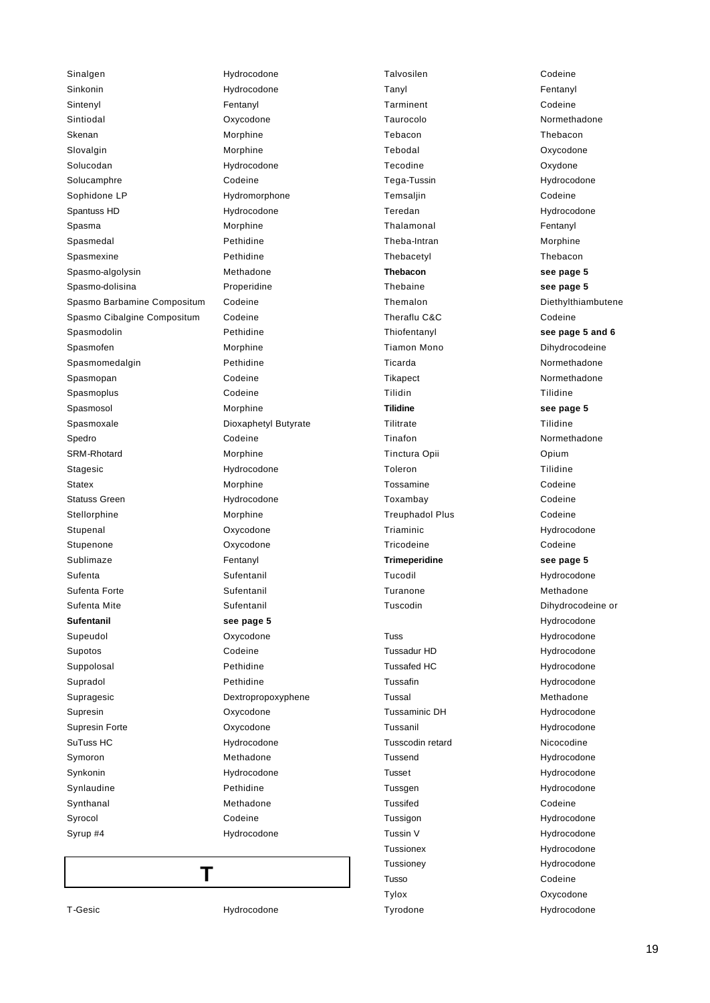Sinalgen Hydrocodone Sinkonin Hydrocodone Sintenyl Fentanyl Sintiodal Oxycodone Skenan Morphine Slovalgin **Morphine** Solucodan Hydrocodone Solucamphre Codeine Sophidone LP Hydromorphone Spantuss HD Hydrocodone Spasma Morphine Spasmedal **Pethidine** Spasmexine **Pethidine** Spasmo-algolysin Methadone Spasmo-dolisina Properidine Spasmo Barbamine Compositum Codeine Spasmo Cibalgine Compositum Codeine Spasmodolin Pethidine Spasmofen Morphine Spasmomedalgin Pethidine Spasmopan Codeine Spasmoplus **Codeine** Spasmosol Morphine Spasmoxale Dioxaphetyl Butyrate Spedro Codeine SRM-Rhotard Morphine Stagesic **Hydrocodone** Statex Morphine Statuss Green Hydrocodone Stellorphine Morphine Stupenal **Oxycodone** Stupenone **Oxycodone** Sublimaze Fentanyl Sufenta Sufentanil Sufenta Forte Sufentanil Sufenta Mite<br>
Sufentanil **Sufentanil see page 5** Supeudol Oxycodone Supotos Codeine Suppolosal **Pethidine** Supradol Pethidine Supragesic **Dextropropoxyphene** Supresin Oxycodone Supresin Forte **Oxycodone** SuTuss HC **Hydrocodone** Symoron Methadone Synkonin Hydrocodone Synlaudine Pethidine Synthanal Methadone Syrocol Codeine Syrup #4 Hydrocodone

Talvosilen **Codeine** Tanyl Fentanyl Tarminent Codeine Taurocolo Normethadone Tebacon Thebacon Tebodal Oxycodone Tecodine Oxydone Tega-Tussin Hydrocodone Temsaljin Codeine Teredan Hydrocodone Thalamonal **Fentanyl** Theba-Intran Morphine Thebacetyl Thebacon **Thebacon see page 5** Thebaine **see page 5** Theraflu C&C Codeine Thiofentanyl **see page 5 and 6** Tiamon Mono Dihydrocodeine Ticarda **Normethadone** Tikapect Normethadone Tilidin Tilidine **Tilidine see page 5** Tilitrate Tilidine Tinafon Normethadone Tinctura Opii **Opium** Toleron Tilidine Tossamine Codeine Toxambay Codeine Treuphadol Plus Codeine Triaminic **Hydrocodone** Tricodeine Codeine **Trimeperidine see page 5** Tucodil Hydrocodone Turanone Methadone Tuss Hydrocodone Tussadur HD Hydrocodone Tussafed HC **Hydrocodone** Tussafin **Hydrocodone** Tussal Methadone Tussaminic DH Hydrocodone Tussanil **Hydrocodone** Tusscodin retard Nicocodine Tussend Hydrocodone Tusset Hydrocodone Tussgen Hydrocodone Tussifed Codeine Tussigon Hydrocodone Tussin V Hydrocodone Tussionex **Hydrocodone** Tussioney **Hydrocodone** Tusso Codeine

Themalon Diethylthiambutene Tuscodin Dihydrocodeine or Hydrocodone Tylox Oxycodone Tyrodone Hydrocodone

**T**

T-Gesic **Hydrocodone**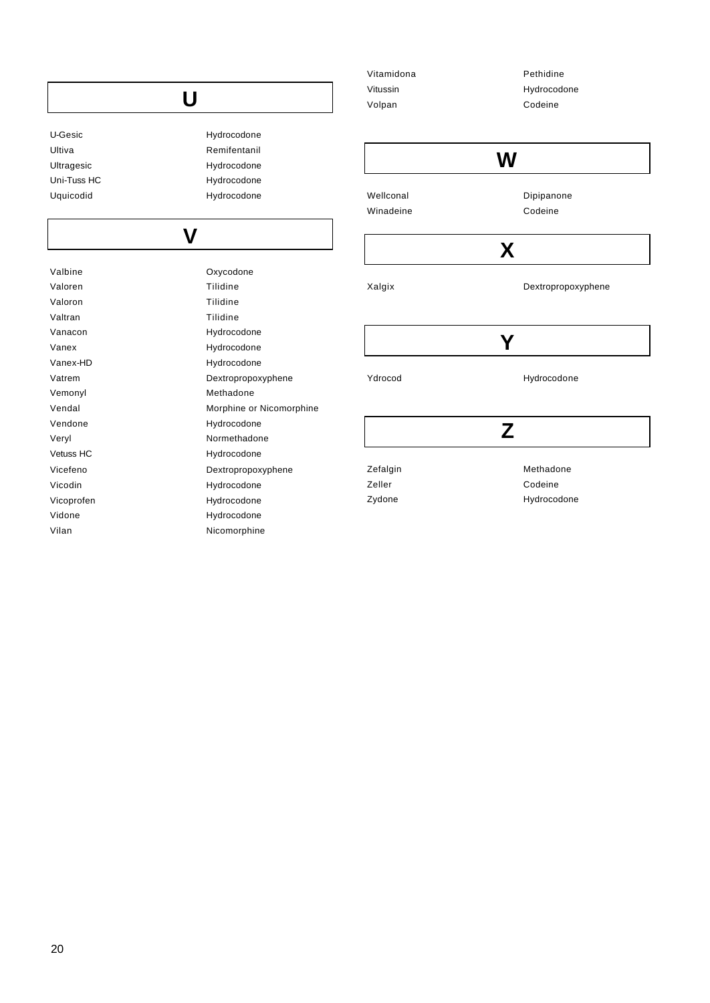|             |                          | Vitamidona | Pethidine          |
|-------------|--------------------------|------------|--------------------|
|             |                          | Vitussin   | Hydrocodone        |
|             | U                        | Volpan     | Codeine            |
| U-Gesic     | Hydrocodone              |            |                    |
| Ultiva      | Remifentanil             |            |                    |
| Ultragesic  | Hydrocodone              |            | W                  |
| Uni-Tuss HC | Hydrocodone              |            |                    |
| Uquicodid   | Hydrocodone              | Wellconal  | Dipipanone         |
|             |                          | Winadeine  | Codeine            |
|             |                          |            |                    |
|             | $\mathsf{V}$             |            |                    |
|             |                          |            | X                  |
| Valbine     | Oxycodone                |            |                    |
| Valoren     | Tilidine                 | Xalgix     | Dextropropoxyphene |
| Valoron     | Tilidine                 |            |                    |
| Valtran     | Tilidine                 |            |                    |
| Vanacon     | Hydrocodone              |            |                    |
| Vanex       | Hydrocodone              |            | Y                  |
| Vanex-HD    | Hydrocodone              |            |                    |
| Vatrem      | Dextropropoxyphene       | Ydrocod    | Hydrocodone        |
| Vemonyl     | Methadone                |            |                    |
| Vendal      | Morphine or Nicomorphine |            |                    |
| Vendone     | Hydrocodone              |            | Z                  |
| Veryl       | Normethadone             |            |                    |
| Vetuss HC   | Hydrocodone              |            |                    |
| Vicefeno    | Dextropropoxyphene       | Zefalgin   | Methadone          |
| Vicodin     | Hydrocodone              | Zeller     | Codeine            |
| Vicoprofen  | Hydrocodone              | Zydone     | Hydrocodone        |
| Vidone      | Hydrocodone              |            |                    |
| Vilan       | Nicomorphine             |            |                    |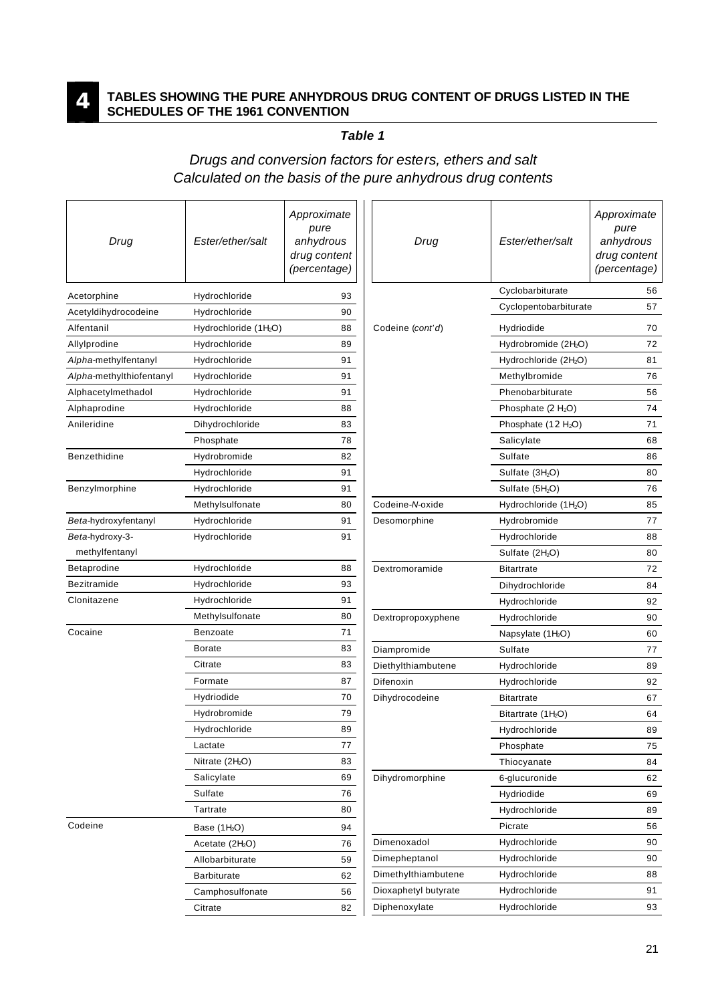**3**

#### **TABLES SHOWING THE PURE ANHYDROUS DRUG CONTENT OF DRUGS LISTED IN THE SCHEDULES OF THE 1961 CONVENTION**

#### *Table 1*

#### *Drugs and conversion factors for esters, ethers and salt Calculated on the basis of the pure anhydrous drug contents*

| Drug                     | Ester/ether/salt                  | Approximate<br>pure<br>anhydrous<br>drug content<br>(percentage) | Drug                 | Ester/ether/salt                  | Approximate<br>pure<br>anhydrous<br>drug content<br>(percentage) |
|--------------------------|-----------------------------------|------------------------------------------------------------------|----------------------|-----------------------------------|------------------------------------------------------------------|
| Acetorphine              | Hydrochloride                     | 93                                                               |                      | Cyclobarbiturate                  | 56                                                               |
| Acetyldihydrocodeine     | Hydrochloride                     | 90                                                               |                      | Cyclopentobarbiturate             | 57                                                               |
| Alfentanil               | Hydrochloride (1H <sub>2</sub> O) | 88                                                               | Codeine (cont'd)     | Hydriodide                        | 70                                                               |
| Allylprodine             | Hydrochloride                     | 89                                                               |                      | Hydrobromide (2H <sub>2</sub> O)  | 72                                                               |
| Alpha-methylfentanyl     | Hydrochloride                     | 91                                                               |                      | Hydrochloride (2H <sub>2</sub> O) | 81                                                               |
| Alpha-methylthiofentanyl | Hydrochloride                     | 91                                                               |                      | Methylbromide                     | 76                                                               |
| Alphacetylmethadol       | Hydrochloride                     | 91                                                               |                      | Phenobarbiturate                  | 56                                                               |
| Alphaprodine             | Hydrochloride                     | 88                                                               |                      | Phosphate (2H <sub>2</sub> O)     | 74                                                               |
| Anileridine              | Dihydrochloride                   | 83                                                               |                      | Phosphate $(12H2O)$               | 71                                                               |
|                          | Phosphate                         | 78                                                               |                      | Salicylate                        | 68                                                               |
| Benzethidine             | Hydrobromide                      | 82                                                               |                      | Sulfate                           | 86                                                               |
|                          | Hydrochloride                     | 91                                                               |                      | Sulfate (3H <sub>2</sub> O)       | 80                                                               |
| Benzylmorphine           | Hydrochloride                     | 91                                                               |                      | Sulfate (5H <sub>2</sub> O)       | 76                                                               |
|                          | Methylsulfonate                   | 80                                                               | Codeine-N-oxide      | Hydrochloride (1H <sub>2</sub> O) | 85                                                               |
| Beta-hydroxyfentanyl     | Hydrochloride                     | 91                                                               | Desomorphine         | Hydrobromide                      | 77                                                               |
| Beta-hydroxy-3-          | Hydrochloride                     | 91                                                               |                      | Hydrochloride                     | 88                                                               |
| methylfentanyl           |                                   |                                                                  |                      | Sulfate (2H <sub>2</sub> O)       | 80                                                               |
| Betaprodine              | Hydrochloride                     | 88                                                               | Dextromoramide       | <b>Bitartrate</b>                 | 72                                                               |
| Bezitramide              | Hydrochloride                     | 93                                                               |                      | Dihydrochloride                   | 84                                                               |
| Clonitazene              | Hydrochloride                     | 91                                                               |                      | Hydrochloride                     | 92                                                               |
|                          | Methylsulfonate                   | 80                                                               | Dextropropoxyphene   | Hydrochloride                     | 90                                                               |
| Cocaine                  | <b>Benzoate</b>                   | 71                                                               |                      | Napsylate $(1H2O)$                | 60                                                               |
|                          | <b>Borate</b>                     | 83                                                               | Diampromide          | Sulfate                           | 77                                                               |
|                          | Citrate                           | 83                                                               | Diethylthiambutene   | Hydrochloride                     | 89                                                               |
|                          | Formate                           | 87                                                               | Difenoxin            | Hydrochloride                     | 92                                                               |
|                          | Hydriodide                        | 70                                                               | Dihydrocodeine       | <b>Bitartrate</b>                 | 67                                                               |
|                          | Hydrobromide                      | 79                                                               |                      | Bitartrate $(1H2O)$               | 64                                                               |
|                          | Hydrochloride                     | 89                                                               |                      | Hydrochloride                     | 89                                                               |
|                          | Lactate                           | 77                                                               |                      | Phosphate                         | 75                                                               |
|                          | Nitrate (2H <sub>2</sub> O)       | 83                                                               |                      | Thiocyanate                       | 84                                                               |
|                          | Salicylate                        | 69                                                               | Dihydromorphine      | 6-glucuronide                     | 62                                                               |
|                          | Sulfate                           | 76                                                               |                      | Hydriodide                        | 69                                                               |
|                          | Tartrate                          | 80                                                               |                      | Hydrochloride                     | 89                                                               |
| Codeine                  | Base (1H <sub>2</sub> O)          | 94                                                               |                      | Picrate                           | 56                                                               |
|                          | Acetate (2H <sub>2</sub> O)       | 76                                                               | Dimenoxadol          | Hydrochloride                     | 90                                                               |
|                          | Allobarbiturate                   | 59                                                               | Dimepheptanol        | Hydrochloride                     | 90                                                               |
|                          | <b>Barbiturate</b>                | 62                                                               | Dimethylthiambutene  | Hydrochloride                     | 88                                                               |
|                          | Camphosulfonate                   | 56                                                               | Dioxaphetyl butyrate | Hydrochloride                     | 91                                                               |
|                          | Citrate                           | 82                                                               | Diphenoxylate        | Hydrochloride                     | 93                                                               |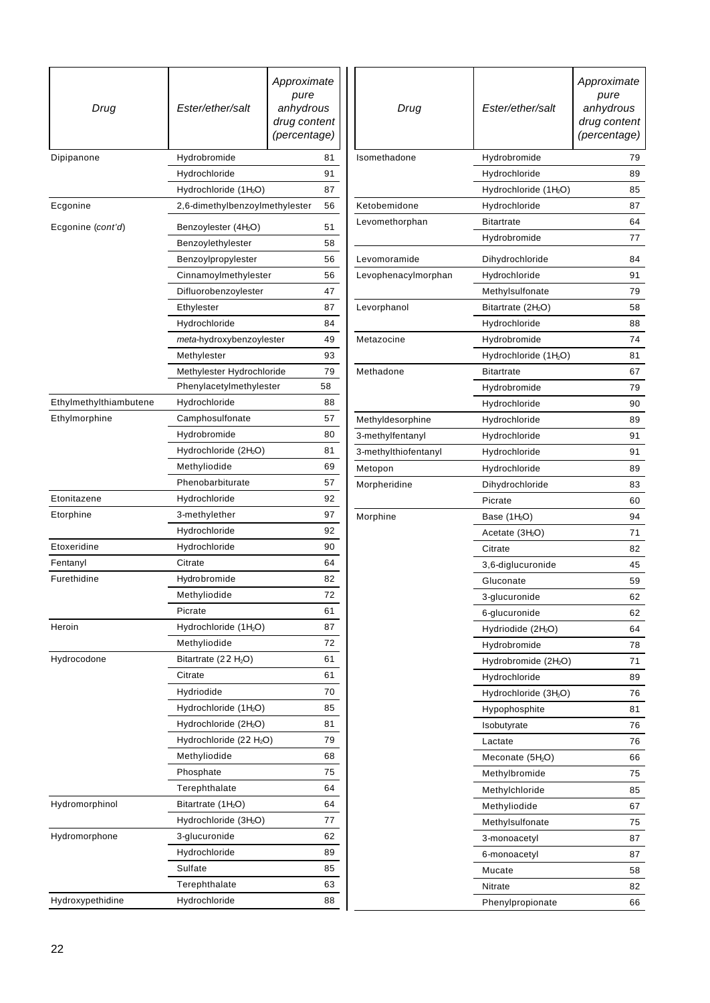| Drug                                    | Ester/ether/salt                   | Approximate<br>pure<br>anhydrous<br>drug content<br>(percentage) |  |
|-----------------------------------------|------------------------------------|------------------------------------------------------------------|--|
| Dipipanone                              | Hydrobromide<br>81                 |                                                                  |  |
|                                         | 91<br>Hydrochloride                |                                                                  |  |
|                                         | Hydrochloride (1H <sub>2</sub> O)  | 87                                                               |  |
| Ecgonine                                | 2,6-dimethylbenzoylmethylester     | 56                                                               |  |
| Ecgonine (cont'd)                       | Benzoylester (4H <sub>2</sub> O)   |                                                                  |  |
|                                         | Benzoylethylester                  | 58                                                               |  |
|                                         | Benzoylpropylester                 | 56                                                               |  |
|                                         | Cinnamoylmethylester               | 56                                                               |  |
|                                         | Difluorobenzoylester               | 47                                                               |  |
|                                         | Ethylester                         | 87                                                               |  |
|                                         | Hydrochloride                      | 84                                                               |  |
|                                         | meta-hydroxybenzoylester           | 49                                                               |  |
|                                         | Methylester                        | 93                                                               |  |
|                                         | Methylester Hydrochloride          | 79                                                               |  |
|                                         | Phenylacetylmethylester            | 58                                                               |  |
| Ethylmethylthiambutene                  | Hydrochloride                      | 88                                                               |  |
| Ethylmorphine                           | Camphosulfonate                    | 57                                                               |  |
|                                         | Hydrobromide                       | 80                                                               |  |
|                                         | Hydrochloride (2H <sub>2</sub> O)  | 81                                                               |  |
|                                         | Methyliodide                       | 69                                                               |  |
|                                         | Phenobarbiturate                   | 57                                                               |  |
| Etonitazene                             | Hydrochloride                      | 92                                                               |  |
| Etorphine                               | 3-methylether                      | 97                                                               |  |
|                                         | Hydrochloride                      | 92                                                               |  |
| Etoxeridine                             | Hydrochloride                      | 90                                                               |  |
| Fentanyl                                | Citrate                            | 64                                                               |  |
| Furethidine                             | Hydrobromide                       | 82                                                               |  |
|                                         | Methyliodide                       | 72                                                               |  |
|                                         | Picrate                            | 61                                                               |  |
| Heroin                                  | Hydrochloride (1H <sub>2</sub> O)  | 87                                                               |  |
|                                         | Methyliodide                       | 72                                                               |  |
| Hydrocodone                             | Bitartrate (22H <sub>2</sub> O)    | 61                                                               |  |
|                                         | Citrate                            | 61                                                               |  |
|                                         | Hydriodide                         | 70                                                               |  |
|                                         | Hydrochloride (1H <sub>2</sub> O)  | 85                                                               |  |
|                                         | Hydrochloride (2H <sub>2</sub> O)  | 81                                                               |  |
|                                         | Hydrochloride (22H <sub>2</sub> O) | 79                                                               |  |
|                                         | Methyliodide                       | 68                                                               |  |
|                                         | Phosphate                          | 75                                                               |  |
|                                         | Terephthalate                      | 64                                                               |  |
| Hydromorphinol                          | Bitartrate $(1H2O)$                | 64                                                               |  |
|                                         | Hydrochloride (3H <sub>2</sub> O)  | 77                                                               |  |
| Hydromorphone                           | 3-glucuronide<br>62                |                                                                  |  |
|                                         | Hydrochloride<br>89                |                                                                  |  |
|                                         | Sulfate                            | 85                                                               |  |
|                                         | Terephthalate                      | 63                                                               |  |
| Hydroxypethidine<br>Hydrochloride<br>88 |                                    |                                                                  |  |

| Drug                         | Ester/ether/salt                  | Approximate<br>pure<br>anhydrous<br>drug content<br>(percentage) |
|------------------------------|-----------------------------------|------------------------------------------------------------------|
| Isomethadone<br>Hydrobromide |                                   | 79                                                               |
|                              | Hydrochloride                     | 89                                                               |
|                              | Hydrochloride (1H <sub>2</sub> O) | 85                                                               |
| Ketobemidone                 | Hydrochloride                     | 87                                                               |
| Levomethorphan               | <b>Bitartrate</b>                 | 64                                                               |
|                              | Hydrobromide                      | 77                                                               |
| Levomoramide                 | Dihydrochloride                   | 84                                                               |
| Levophenacylmorphan          | Hydrochloride                     | 91                                                               |
|                              | Methylsulfonate                   | 79                                                               |
| Levorphanol                  | Bitartrate $(2H2O)$               | 58                                                               |
|                              | Hydrochloride                     | 88                                                               |
| Metazocine                   | Hydrobromide                      | 74                                                               |
|                              | Hydrochloride (1H <sub>2</sub> O) | 81                                                               |
| Methadone                    | <b>Bitartrate</b>                 | 67                                                               |
|                              | Hydrobromide                      | 79                                                               |
|                              | Hydrochloride                     | 90                                                               |
| Methyldesorphine             | Hydrochloride                     | 89                                                               |
| 3-methylfentanyl             | Hydrochloride                     | 91                                                               |
| 3-methylthiofentanyl         | Hydrochloride                     | 91                                                               |
| Metopon                      | Hydrochloride                     | 89                                                               |
| Morpheridine                 | Dihydrochloride                   | 83                                                               |
|                              | Picrate                           | 60                                                               |
| Morphine                     | Base $(1H2O)$                     | 94                                                               |
|                              | Acetate $(3H2O)$                  | 71                                                               |
|                              | Citrate                           | 82                                                               |
|                              | 3,6-diglucuronide                 | 45                                                               |
|                              | Gluconate                         | 59                                                               |
|                              | 3-glucuronide                     | 62                                                               |
|                              | 6-glucuronide                     | 62                                                               |
|                              | Hydriodide (2H <sub>2</sub> O)    | 64                                                               |
|                              | Hydrobromide                      | 78                                                               |
|                              | Hydrobromide (2H <sub>2</sub> O)  | 71                                                               |
|                              | Hydrochloride                     | 89                                                               |
|                              | Hydrochloride (3H <sub>2</sub> O) | 76                                                               |
|                              | Hypophosphite                     | 81                                                               |
|                              | Isobutyrate                       | 76                                                               |
|                              | Lactate                           | 76                                                               |
|                              | Meconate $(5H2O)$                 | 66                                                               |
|                              | Methylbromide                     | 75                                                               |
|                              | Methylchloride                    | 85                                                               |
|                              | Methyliodide                      | 67                                                               |
|                              | Methylsulfonate                   | 75                                                               |
|                              | 3-monoacetyl                      | 87                                                               |
|                              | 6-monoacetyl                      | 87                                                               |
|                              | Mucate                            | 58                                                               |
|                              | Nitrate                           | 82                                                               |
|                              | Phenylpropionate                  | 66                                                               |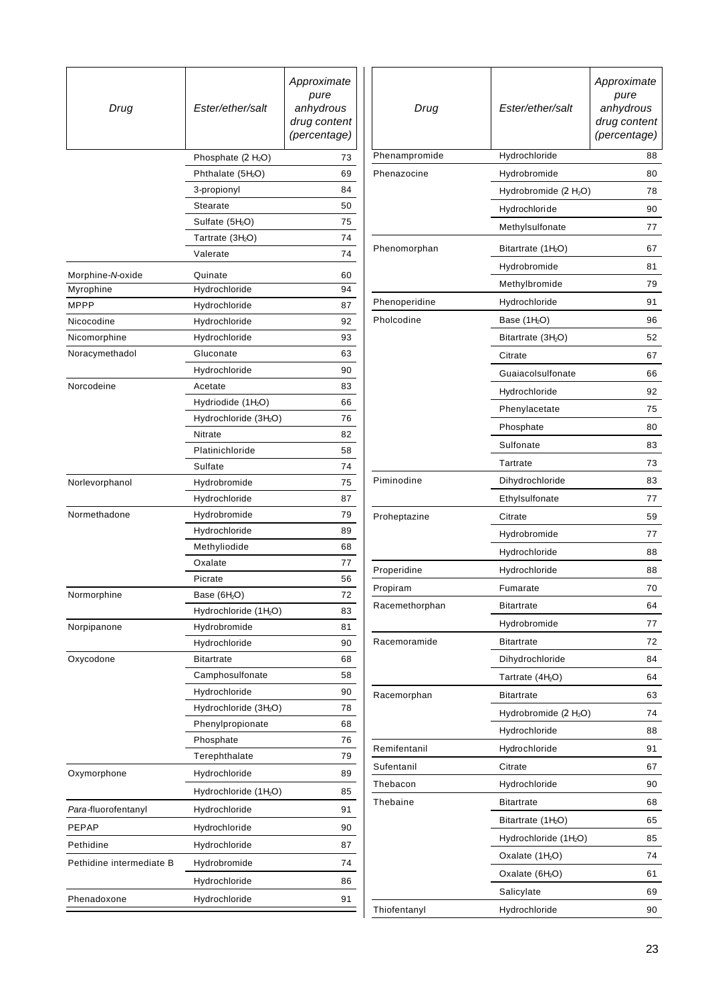| Drug                     | Ester/ether/salt                  | Approximate<br>pure<br>anhydrous<br>drug content<br>(percentage) | Drug           | Ester/ether/salt                                           | Approximate<br>pure<br>anhydrous<br>drug content<br>(percentage) |
|--------------------------|-----------------------------------|------------------------------------------------------------------|----------------|------------------------------------------------------------|------------------------------------------------------------------|
|                          | Phosphate (2H <sub>2</sub> O)     | 73                                                               | Phenampromide  | Hydrochloride                                              | 88                                                               |
|                          | Phthalate (5H <sub>2</sub> O)     | 69                                                               | Phenazocine    | Hydrobromide                                               | 80                                                               |
|                          | 3-propionyl                       | 84                                                               |                | Hydrobromide (2H <sub>2</sub> O)                           | 78                                                               |
|                          | Stearate                          | 50                                                               |                | Hydrochloride                                              | 90                                                               |
|                          | Sulfate (5H <sub>2</sub> O)       | 75                                                               |                | Methylsulfonate                                            | 77                                                               |
|                          | Tartrate (3H <sub>2</sub> O)      | 74                                                               |                |                                                            |                                                                  |
|                          | Valerate                          | 74                                                               | Phenomorphan   | Bitartrate (1H <sub>2</sub> O)<br>Hydrobromide             | 67<br>81                                                         |
| Morphine-N-oxide         | Quinate                           | 60                                                               |                |                                                            |                                                                  |
| Myrophine                | Hydrochloride                     | 94                                                               |                | Methylbromide                                              | 79                                                               |
| <b>MPPP</b>              | Hydrochloride                     | 87                                                               | Phenoperidine  | Hydrochloride                                              | 91                                                               |
| Nicocodine               | Hydrochloride                     | 92                                                               | Pholcodine     | Base (1H <sub>2</sub> O)                                   | 96                                                               |
| Nicomorphine             | Hydrochloride                     | 93                                                               |                | Bitartrate (3H <sub>2</sub> O)                             | 52                                                               |
| Noracymethadol           | Gluconate                         | 63                                                               |                | Citrate                                                    | 67                                                               |
|                          | Hydrochloride                     | 90                                                               |                | Guaiacolsulfonate                                          | 66                                                               |
| Norcodeine               | Acetate                           | 83                                                               |                | Hydrochloride                                              | 92                                                               |
|                          | Hydriodide (1H <sub>2</sub> O)    | 66                                                               |                | Phenylacetate                                              | 75                                                               |
|                          | Hydrochloride (3H <sub>2</sub> O) | 76                                                               |                | Phosphate                                                  | 80                                                               |
|                          | Nitrate<br>Platinichloride        | 82<br>58                                                         |                | Sulfonate                                                  | 83                                                               |
|                          | Sulfate                           | 74                                                               |                | Tartrate                                                   | 73                                                               |
| Norlevorphanol           | Hydrobromide                      | 75                                                               | Piminodine     | Dihydrochloride                                            | 83                                                               |
|                          | Hydrochloride                     | 87                                                               |                | Ethylsulfonate                                             | 77                                                               |
| Normethadone             | Hydrobromide                      | 79                                                               | Proheptazine   | Citrate                                                    | 59                                                               |
|                          | Hydrochloride                     | 89                                                               |                | Hydrobromide                                               | 77                                                               |
|                          | Methyliodide                      | 68                                                               |                |                                                            |                                                                  |
|                          | Oxalate                           | 77                                                               |                | Hydrochloride                                              | 88                                                               |
|                          | Picrate                           | 56                                                               | Properidine    | Hydrochloride                                              | 88                                                               |
| Normorphine              | Base (6H <sub>2</sub> O)          | 72                                                               | Propiram       | Fumarate                                                   | 70                                                               |
|                          | Hydrochloride (1H <sub>2</sub> O) | 83                                                               | Racemethorphan | <b>Bitartrate</b>                                          | 64                                                               |
| Norpipanone              | Hydrobromide                      | 81                                                               |                | Hydrobromide                                               | 77                                                               |
|                          | Hydrochloride                     | 90                                                               | Racemoramide   | <b>Bitartrate</b>                                          | 72                                                               |
| Oxycodone                | <b>Bitartrate</b>                 | 68                                                               |                | Dihydrochloride                                            | 84                                                               |
|                          | Camphosulfonate                   | 58                                                               |                | Tartrate (4H <sub>2</sub> O)                               | 64                                                               |
|                          | Hydrochloride                     | 90                                                               | Racemorphan    | <b>Bitartrate</b>                                          | 63                                                               |
|                          | Hydrochloride (3H <sub>2</sub> O) | 78                                                               |                | Hydrobromide (2H <sub>2</sub> O)                           | 74                                                               |
|                          | Phenylpropionate                  | 68                                                               |                | Hydrochloride                                              | 88                                                               |
|                          | Phosphate                         | 76                                                               | Remifentanil   | Hydrochloride                                              | 91                                                               |
|                          | Terephthalate                     | 79                                                               | Sufentanil     | Citrate                                                    | 67                                                               |
| Oxymorphone              | Hydrochloride                     | 89                                                               | Thebacon       | Hydrochloride                                              | 90                                                               |
|                          | Hydrochloride (1H <sub>2</sub> O) | 85                                                               | Thebaine       | <b>Bitartrate</b>                                          | 68                                                               |
| Para-fluorofentanyl      | Hydrochloride                     | 91                                                               |                | Bitartrate (1H <sub>2</sub> O)                             | 65                                                               |
| PEPAP                    | Hydrochloride                     | 90                                                               |                | Hydrochloride (1H <sub>2</sub> O)                          | 85                                                               |
| Pethidine                | Hydrochloride                     | 87                                                               |                |                                                            | 74                                                               |
| Pethidine intermediate B | Hydrobromide                      | 74                                                               |                | Oxalate (1H <sub>2</sub> O)<br>Oxalate (6H <sub>2</sub> O) |                                                                  |
|                          | Hydrochloride                     | 86                                                               |                |                                                            | 61                                                               |
| Phenadoxone              | Hydrochloride                     | 91                                                               |                | Salicylate                                                 | 69                                                               |
|                          |                                   |                                                                  | Thiofentanyl   | Hydrochloride                                              | 90                                                               |